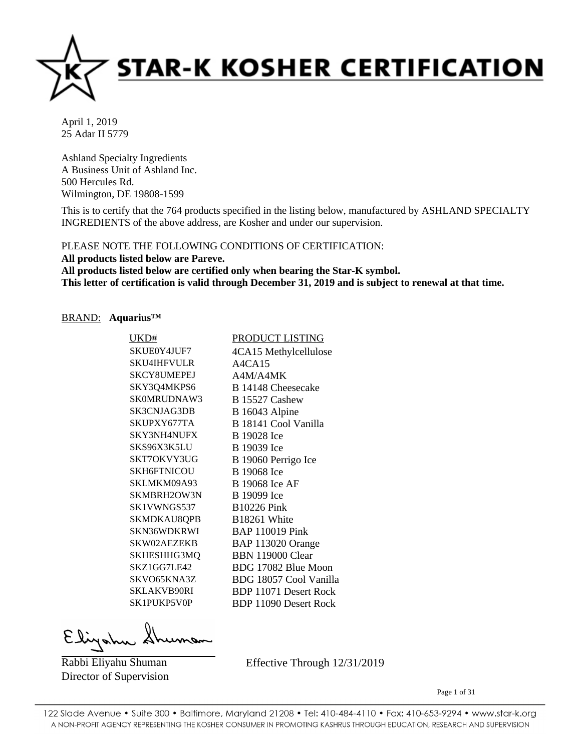

Ashland Specialty Ingredients A Business Unit of Ashland Inc. 500 Hercules Rd. Wilmington, DE 19808-1599

This is to certify that the 764 products specified in the listing below, manufactured by ASHLAND SPECIALTY INGREDIENTS of the above address, are Kosher and under our supervision.

PLEASE NOTE THE FOLLOWING CONDITIONS OF CERTIFICATION:

**All products listed below are Pareve. All products listed below are certified only when bearing the Star-K symbol. This letter of certification is valid through December 31, 2019 and is subject to renewal at that time.**

# BRAND: **Aquarius™**

| UKD#               | <u>PRODUCT LISTING</u>       |
|--------------------|------------------------------|
| SKUE0Y4JUF7        | 4CA15 Methylcellulose        |
| <b>SKU4IHFVULR</b> | A4CA15                       |
| SKCY8UMEPEJ        | A4M/A4MK                     |
| SKY3Q4MKPS6        | B 14148 Cheesecake           |
| SK0MRUDNAW3        | B 15527 Cashew               |
| SK3CNJAG3DB        | B 16043 Alpine               |
| SKUPXY677TA        | B 18141 Cool Vanilla         |
| <b>SKY3NH4NUFX</b> | B 19028 Ice                  |
| SKS96X3K5LU        | B 19039 Ice                  |
| SKT7OKVY3UG        | B 19060 Perrigo Ice          |
| <b>SKH6FTNICOU</b> | B 19068 Ice                  |
| SKLMKM09A93        | B 19068 Ice AF               |
| SKMBRH2OW3N        | B 19099 Ice                  |
| SK1VWNGS537        | <b>B10226 Pink</b>           |
| SKMDKAU8QPB        | B18261 White                 |
| SKN36WDKRWI        | <b>BAP 110019 Pink</b>       |
| SKW02AEZEKB        | BAP 113020 Orange            |
| SKHESHHG3MQ        | <b>BBN 119000 Clear</b>      |
| SKZ1GG7LE42        | BDG 17082 Blue Moon          |
| SKVO65KNA3Z        | BDG 18057 Cool Vanilla       |
| SKLAKVB90RI        | <b>BDP 11071 Desert Rock</b> |
| SK1PUKP5V0P        | <b>BDP 11090 Desert Rock</b> |

Rabbi Eliyahu Shuman Director of Supervision Effective Through 12/31/2019

Page 1 of 31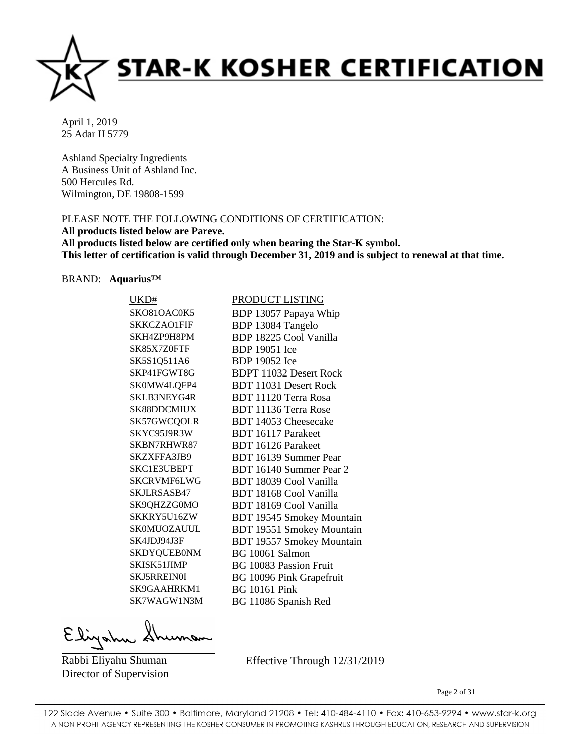

Ashland Specialty Ingredients A Business Unit of Ashland Inc. 500 Hercules Rd. Wilmington, DE 19808-1599

# PLEASE NOTE THE FOLLOWING CONDITIONS OF CERTIFICATION:

**All products listed below are Pareve.**

**All products listed below are certified only when bearing the Star-K symbol. This letter of certification is valid through December 31, 2019 and is subject to renewal at that time.**

#### BRAND: **Aquarius™**

| UKD#               | <b>PRODUCT LISTING</b>           |
|--------------------|----------------------------------|
| SKO81OAC0K5        | BDP 13057 Papaya Whip            |
| SKKCZAO1FIF        | BDP 13084 Tangelo                |
| SKH4ZP9H8PM        | BDP 18225 Cool Vanilla           |
| SK85X7Z0FTF        | <b>BDP</b> 19051 Ice             |
| SK5S1Q511A6        | <b>BDP</b> 19052 Ice             |
| SKP41FGWT8G        | <b>BDPT 11032 Desert Rock</b>    |
| SK0MW4LQFP4        | <b>BDT 11031 Desert Rock</b>     |
| SKLB3NEYG4R        | BDT 11120 Terra Rosa             |
| SK88DDCMIUX        | BDT 11136 Terra Rose             |
| SK57GWCQOLR        | BDT 14053 Cheesecake             |
| SKYC95J9R3W        | BDT 16117 Parakeet               |
| SKBN7RHWR87        | <b>BDT</b> 16126 Parakeet        |
| SKZXFFA3JB9        | BDT 16139 Summer Pear            |
| <b>SKC1E3UBEPT</b> | BDT 16140 Summer Pear 2          |
| <b>SKCRVMF6LWG</b> | BDT 18039 Cool Vanilla           |
| SKJLRSASB47        | BDT 18168 Cool Vanilla           |
| SK9QHZZG0MO        | BDT 18169 Cool Vanilla           |
| SKKRY5U16ZW        | <b>BDT 19545 Smokey Mountain</b> |
| SK0MUOZAUUL        | <b>BDT 19551 Smokey Mountain</b> |
| SK4JDJ94J3F        | <b>BDT 19557 Smokey Mountain</b> |
| <b>SKDYQUEB0NM</b> | BG 10061 Salmon                  |
| SKISK51JIMP        | <b>BG 10083 Passion Fruit</b>    |
| <b>SKJ5RREIN0I</b> | BG 10096 Pink Grapefruit         |
| SK9GAAHRKM1        | <b>BG</b> 10161 Pink             |
| SK7WAGW1N3M        | BG 11086 Spanish Red             |
|                    |                                  |

Eligatu

Rabbi Eliyahu Shuman Director of Supervision Effective Through 12/31/2019

Page 2 of 31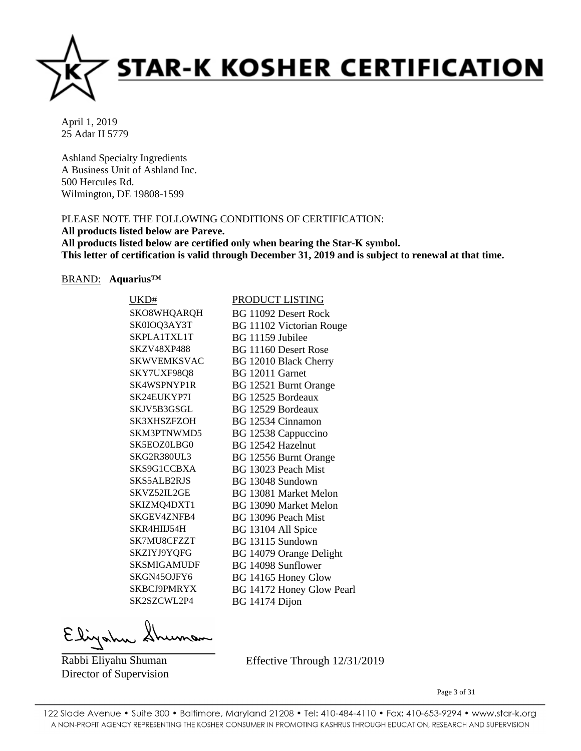

Ashland Specialty Ingredients A Business Unit of Ashland Inc. 500 Hercules Rd. Wilmington, DE 19808-1599

# PLEASE NOTE THE FOLLOWING CONDITIONS OF CERTIFICATION:

**All products listed below are Pareve.**

**All products listed below are certified only when bearing the Star-K symbol. This letter of certification is valid through December 31, 2019 and is subject to renewal at that time.**

#### BRAND: **Aquarius™**

| UKD#               | PRODUCT LISTING              |
|--------------------|------------------------------|
| SKO8WHQARQH        | <b>BG 11092 Desert Rock</b>  |
| SK0IOQ3AY3T        | BG 11102 Victorian Rouge     |
| SKPLA1TXL1T        | BG 11159 Jubilee             |
| <b>SKZV48XP488</b> | BG 11160 Desert Rose         |
| <b>SKWVEMKSVAC</b> | BG 12010 Black Cherry        |
| SKY7UXF98Q8        | BG 12011 Garnet              |
| SK4WSPNYP1R        | BG 12521 Burnt Orange        |
| SK24EUKYP7I        | BG 12525 Bordeaux            |
| SKJV5B3GSGL        | BG 12529 Bordeaux            |
| <b>SK3XHSZFZOH</b> | BG 12534 Cinnamon            |
| SKM3PTNWMD5        | BG 12538 Cappuccino          |
| SK5EOZ0LBG0        | BG 12542 Hazelnut            |
| SKG2R380UL3        | BG 12556 Burnt Orange        |
| SKS9G1CCBXA        | BG 13023 Peach Mist          |
| SKS5ALB2RJS        | BG 13048 Sundown             |
| SKVZ52IL2GE        | <b>BG 13081 Market Melon</b> |
| SKIZMQ4DXT1        | <b>BG 13090 Market Melon</b> |
| SKGEV4ZNFB4        | BG 13096 Peach Mist          |
| SKR4HIIJ54H        | BG 13104 All Spice           |
| SK7MU8CFZZT        | BG 13115 Sundown             |
| SKZIYJ9YQFG        | BG 14079 Orange Delight      |
| <b>SKSMIGAMUDF</b> | BG 14098 Sunflower           |
| SKGN45OJFY6        | BG 14165 Honey Glow          |
| SKBCJ9PMRYX        | BG 14172 Honey Glow Pearl    |
| SK2SZCWL2P4        | BG 14174 Dijon               |
|                    |                              |

Elizahu

Rabbi Eliyahu Shuman Director of Supervision Effective Through 12/31/2019

Page 3 of 31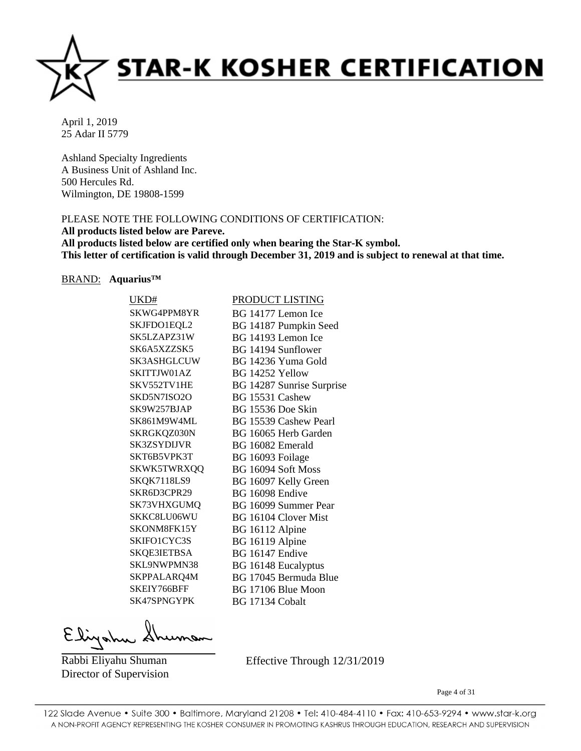

Ashland Specialty Ingredients A Business Unit of Ashland Inc. 500 Hercules Rd. Wilmington, DE 19808-1599

# PLEASE NOTE THE FOLLOWING CONDITIONS OF CERTIFICATION:

**All products listed below are Pareve.**

**All products listed below are certified only when bearing the Star-K symbol. This letter of certification is valid through December 31, 2019 and is subject to renewal at that time.**

#### BRAND: **Aquarius™**

| UKD#               | <b>PRODUCT LISTING</b>     |
|--------------------|----------------------------|
| SKWG4PPM8YR        | BG 14177 Lemon Ice         |
| SKJFDO1EQL2        | BG 14187 Pumpkin Seed      |
| SK5LZAPZ31W        | BG 14193 Lemon Ice         |
| SK6A5XZZSK5        | BG 14194 Sunflower         |
| <b>SK3ASHGLCUW</b> | BG 14236 Yuma Gold         |
| SKITTJW01AZ        | BG 14252 Yellow            |
| SKV552TV1HE        | BG 14287 Sunrise Surprise  |
| SKD5N7ISO2O        | BG 15531 Cashew            |
| SK9W257BJAP        | BG 15536 Doe Skin          |
| SK861M9W4ML        | BG 15539 Cashew Pearl      |
| SKRGKQZ030N        | BG 16065 Herb Garden       |
| <b>SK3ZSYDLIVR</b> | BG 16082 Emerald           |
| SKT6B5VPK3T        | BG 16093 Foilage           |
| SKWK5TWRXQQ        | BG 16094 Soft Moss         |
| SKQK7118LS9        | BG 16097 Kelly Green       |
| SKR6D3CPR29        | BG 16098 Endive            |
| SK73VHXGUMQ        | BG 16099 Summer Pear       |
| SKKC8LU06WU        | BG 16104 Clover Mist       |
| SKONM8FK15Y        | BG 16112 Alpine            |
| SKIFO1CYC3S        | BG 16119 Alpine            |
| SKQE3IETBSA        | BG 16147 Endive            |
| SKL9NWPMN38        | <b>BG</b> 16148 Eucalyptus |
| SKPPALARQ4M        | BG 17045 Bermuda Blue      |
| SKEIY766BFF        | BG 17106 Blue Moon         |
| SK47SPNGYPK        | BG 17134 Cobalt            |
|                    |                            |

Elizahu

Rabbi Eliyahu Shuman Director of Supervision Effective Through 12/31/2019

Page 4 of 31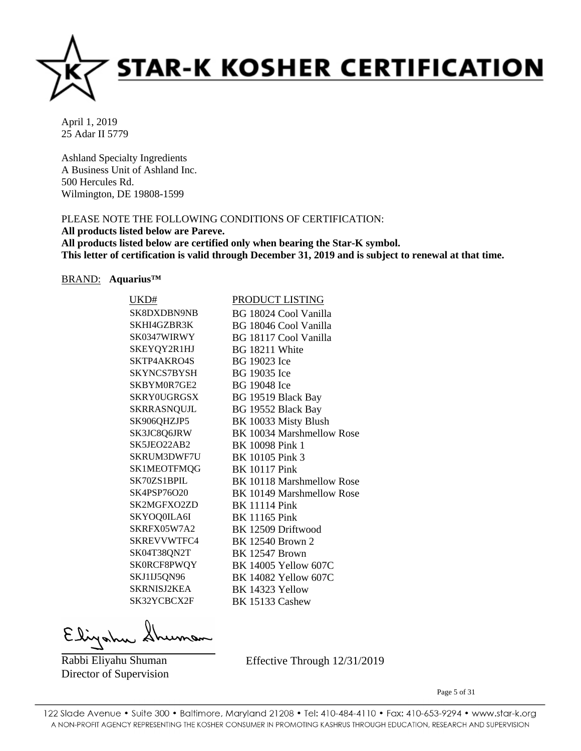

Ashland Specialty Ingredients A Business Unit of Ashland Inc. 500 Hercules Rd. Wilmington, DE 19808-1599

# PLEASE NOTE THE FOLLOWING CONDITIONS OF CERTIFICATION:

**All products listed below are Pareve.**

**All products listed below are certified only when bearing the Star-K symbol. This letter of certification is valid through December 31, 2019 and is subject to renewal at that time.**

#### BRAND: **Aquarius™**

| UKD#               | PRODUCT LISTING             |
|--------------------|-----------------------------|
| SK8DXDBN9NB        | BG 18024 Cool Vanilla       |
| SKHI4GZBR3K        | BG 18046 Cool Vanilla       |
| SK0347WIRWY        | BG 18117 Cool Vanilla       |
| SKEYQY2R1HJ        | BG 18211 White              |
| SKTP4AKRO4S        | BG 19023 Ice                |
| SKYNCS7BYSH        | BG 19035 Ice                |
| SKBYM0R7GE2        | <b>BG</b> 19048 Ice         |
| <b>SKRY0UGRGSX</b> | BG 19519 Black Bay          |
| SKRRASNQUJL        | BG 19552 Black Bay          |
| SK906QHZJP5        | BK 10033 Misty Blush        |
| SK3JC8Q6JRW        | BK 10034 Marshmellow Rose   |
| SK5JEO22AB2        | <b>BK 10098 Pink 1</b>      |
| SKRUM3DWF7U        | BK 10105 Pink 3             |
| SK1MEOTFMQG        | <b>BK 10117 Pink</b>        |
| SK70ZS1BPIL        | BK 10118 Marshmellow Rose   |
| <b>SK4PSP76O20</b> | BK 10149 Marshmellow Rose   |
| SK2MGFXO2ZD        | <b>BK 11114 Pink</b>        |
| SKYOQ0ILA6I        | <b>BK</b> 11165 Pink        |
| SKRFX05W7A2        | BK 12509 Driftwood          |
| SKREVVWTFC4        | <b>BK</b> 12540 Brown 2     |
| SK04T38QN2T        | <b>BK 12547 Brown</b>       |
| SK0RCF8PWQY        | BK 14005 Yellow 607C        |
| SKJ1IJ5QN96        | <b>BK 14082 Yellow 607C</b> |
| <b>SKRNISJ2KEA</b> | BK 14323 Yellow             |
| SK32YCBCX2F        | <b>BK 15133 Cashew</b>      |
|                    |                             |

Elizahu

Rabbi Eliyahu Shuman Director of Supervision Effective Through 12/31/2019

Page 5 of 31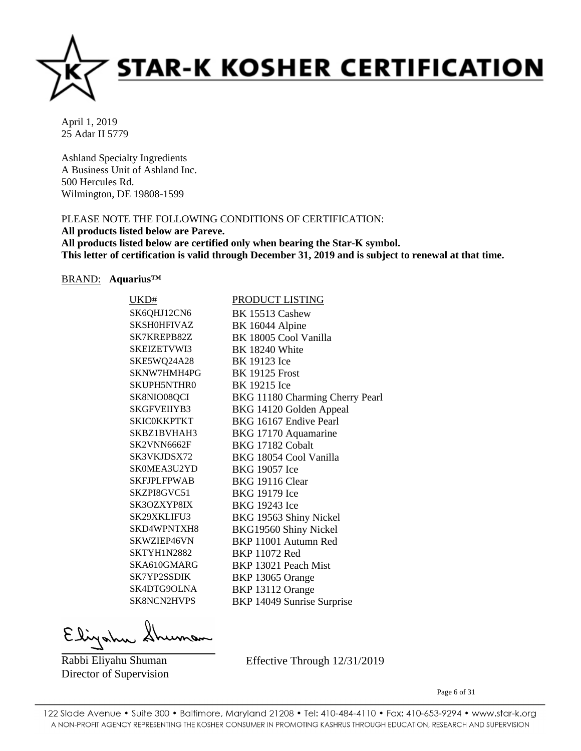

Ashland Specialty Ingredients A Business Unit of Ashland Inc. 500 Hercules Rd. Wilmington, DE 19808-1599

# PLEASE NOTE THE FOLLOWING CONDITIONS OF CERTIFICATION:

**All products listed below are Pareve.**

**All products listed below are certified only when bearing the Star-K symbol. This letter of certification is valid through December 31, 2019 and is subject to renewal at that time.**

#### BRAND: **Aquarius™**

| UKD#               | PRODUCT LISTING                 |
|--------------------|---------------------------------|
| SK6QHJ12CN6        | <b>BK 15513 Cashew</b>          |
| <b>SKSH0HFIVAZ</b> | BK 16044 Alpine                 |
| SK7KREPB82Z        | BK 18005 Cool Vanilla           |
| <b>SKEIZETVWI3</b> | <b>BK 18240 White</b>           |
| SKE5WQ24A28        | BK 19123 Ice                    |
| SKNW7HMH4PG        | <b>BK 19125 Frost</b>           |
| <b>SKUPH5NTHR0</b> | BK 19215 Ice                    |
| SK8NIO08QCI        | BKG 11180 Charming Cherry Pearl |
| <b>SKGFVEIIYB3</b> | BKG 14120 Golden Appeal         |
| <b>SKICOKKPTKT</b> | BKG 16167 Endive Pearl          |
| SKBZ1BVHAH3        | BKG 17170 Aquamarine            |
| SK2VNN6662F        | BKG 17182 Cobalt                |
| SK3VKJDSX72        | BKG 18054 Cool Vanilla          |
| SK0MEA3U2YD        | BKG 19057 Ice                   |
| <b>SKFJPLFPWAB</b> | <b>BKG 19116 Clear</b>          |
| SKZPI8GVC51        | BKG 19179 Ice                   |
| SK3OZXYP8IX        | BKG 19243 Ice                   |
| SK29XKLIFU3        | BKG 19563 Shiny Nickel          |
| SKD4WPNTXH8        | BKG19560 Shiny Nickel           |
| SKWZIEP46VN        | BKP 11001 Autumn Red            |
| SKTYH1N2882        | <b>BKP 11072 Red</b>            |
| SKA610GMARG        | BKP 13021 Peach Mist            |
| SK7YP2SSDIK        | BKP 13065 Orange                |
| SK4DTG9OLNA        | BKP 13112 Orange                |
| <b>SK8NCN2HVPS</b> | BKP 14049 Sunrise Surprise      |

Elizahy

Rabbi Eliyahu Shuman Director of Supervision Effective Through 12/31/2019

Page 6 of 31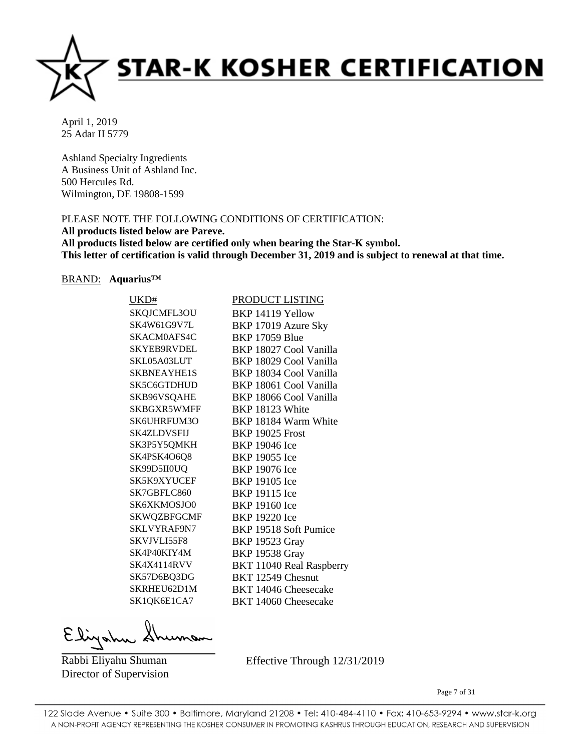

Ashland Specialty Ingredients A Business Unit of Ashland Inc. 500 Hercules Rd. Wilmington, DE 19808-1599

# PLEASE NOTE THE FOLLOWING CONDITIONS OF CERTIFICATION:

**All products listed below are Pareve.**

**All products listed below are certified only when bearing the Star-K symbol. This letter of certification is valid through December 31, 2019 and is subject to renewal at that time.**

#### BRAND: **Aquarius™**

| UKD#               | PRODUCT LISTING          |
|--------------------|--------------------------|
| SKQJCMFL3OU        | BKP 14119 Yellow         |
| SK4W61G9V7L        | BKP 17019 Azure Sky      |
| SKACM0AFS4C        | <b>BKP 17059 Blue</b>    |
| <b>SKYEB9RVDEL</b> | BKP 18027 Cool Vanilla   |
| SKL05A03LUT        | BKP 18029 Cool Vanilla   |
| SKBNEAYHE1S        | BKP 18034 Cool Vanilla   |
| SK5C6GTDHUD        | BKP 18061 Cool Vanilla   |
| SKB96VSQAHE        | BKP 18066 Cool Vanilla   |
| SKBGXR5WMFF        | BKP 18123 White          |
| SK6UHRFUM3O        | BKP 18184 Warm White     |
| <b>SK4ZLDVSFIJ</b> | <b>BKP 19025 Frost</b>   |
| SK3P5Y5QMKH        | <b>BKP</b> 19046 Ice     |
| SK4PSK4O6Q8        | <b>BKP</b> 19055 Ice     |
| SK99D5II0UQ        | <b>BKP 19076 Ice</b>     |
| SK5K9XYUCEF        | <b>BKP</b> 19105 Ice     |
| SK7GBFLC860        | <b>BKP 19115 Ice</b>     |
| SK6XKMOSJO0        | <b>BKP 19160 Ice</b>     |
| <b>SKWQZBFGCMF</b> | BKP 19220 Ice            |
| SKLVYRAF9N7        | BKP 19518 Soft Pumice    |
| SKVJVLI55F8        | <b>BKP 19523 Gray</b>    |
| SK4P40KIY4M        | <b>BKP 19538 Gray</b>    |
| <b>SK4X4114RVV</b> | BKT 11040 Real Raspberry |
| SK57D6BQ3DG        | BKT 12549 Chesnut        |
| SKRHEU62D1M        | BKT 14046 Cheesecake     |
| SK1QK6E1CA7        | BKT 14060 Cheesecake     |
|                    |                          |

Elizahu

Rabbi Eliyahu Shuman Director of Supervision Effective Through 12/31/2019

Page 7 of 31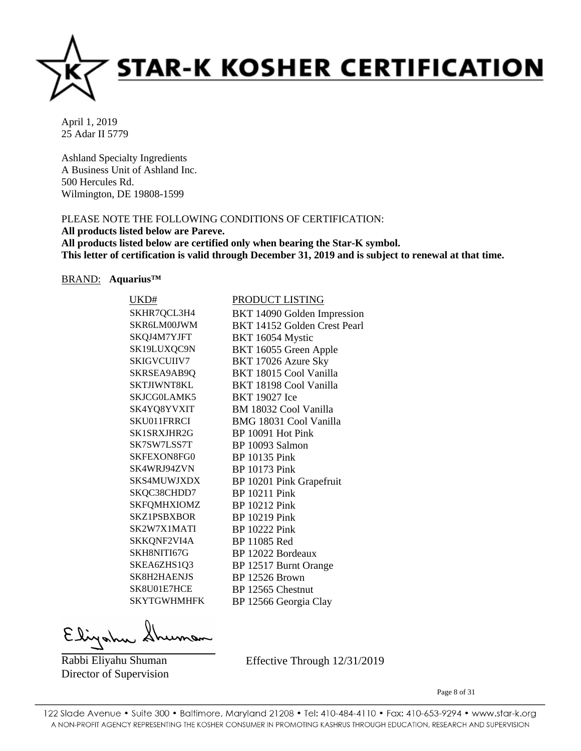

Ashland Specialty Ingredients A Business Unit of Ashland Inc. 500 Hercules Rd. Wilmington, DE 19808-1599

# PLEASE NOTE THE FOLLOWING CONDITIONS OF CERTIFICATION:

**All products listed below are Pareve.**

**All products listed below are certified only when bearing the Star-K symbol. This letter of certification is valid through December 31, 2019 and is subject to renewal at that time.**

# BRAND: **Aquarius™**

| UKD#               | <b>PRODUCT LISTING</b>       |
|--------------------|------------------------------|
| SKHR7QCL3H4        | BKT 14090 Golden Impression  |
| SKR6LM00JWM        | BKT 14152 Golden Crest Pearl |
| SKQJ4M7YJFT        | BKT 16054 Mystic             |
| SK19LUXQC9N        | BKT 16055 Green Apple        |
| <b>SKIGVCUIIV7</b> | BKT 17026 Azure Sky          |
| SKRSEA9AB9Q        | BKT 18015 Cool Vanilla       |
| SKTJIWNT8KL        | BKT 18198 Cool Vanilla       |
| SKJCG0LAMK5        | <b>BKT</b> 19027 Ice         |
| SK4YQ8YVXIT        | BM 18032 Cool Vanilla        |
| SKU011FRRCI        | BMG 18031 Cool Vanilla       |
| SK1SRXJHR2G        | BP 10091 Hot Pink            |
| SK7SW7LSS7T        | BP 10093 Salmon              |
| <b>SKFEXON8FG0</b> | <b>BP</b> 10135 Pink         |
| SK4WRJ94ZVN        | <b>BP</b> 10173 Pink         |
| SKS4MUWJXDX        | BP 10201 Pink Grapefruit     |
| SKQC38CHDD7        | <b>BP</b> 10211 Pink         |
| <b>SKFQMHXIOMZ</b> | <b>BP</b> 10212 Pink         |
| <b>SKZ1PSBXBOR</b> | <b>BP</b> 10219 Pink         |
| SK2W7X1MATI        | <b>BP 10222 Pink</b>         |
| SKKQNF2VI4A        | BP 11085 Red                 |
| SKH8NITI67G        | BP 12022 Bordeaux            |
| SKEA6ZHS1Q3        | BP 12517 Burnt Orange        |
| SK8H2HAENJS        | <b>BP 12526 Brown</b>        |
| SK8U01E7HCE        | BP 12565 Chestnut            |
| SKYTGWHMHFK        | BP 12566 Georgia Clay        |

Elizahu

Rabbi Eliyahu Shuman Director of Supervision Effective Through 12/31/2019

Page 8 of 31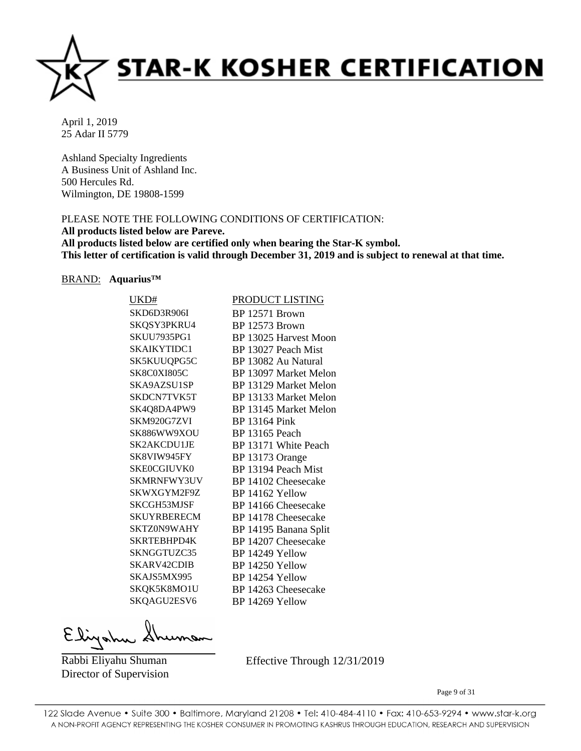

Ashland Specialty Ingredients A Business Unit of Ashland Inc. 500 Hercules Rd. Wilmington, DE 19808-1599

# PLEASE NOTE THE FOLLOWING CONDITIONS OF CERTIFICATION:

**All products listed below are Pareve.**

**All products listed below are certified only when bearing the Star-K symbol. This letter of certification is valid through December 31, 2019 and is subject to renewal at that time.**

#### BRAND: **Aquarius™**

| UKD#               | PRODUCT LISTING       |
|--------------------|-----------------------|
| SKD6D3R906I        | BP 12571 Brown        |
| SKQSY3PKRU4        | BP 12573 Brown        |
| <b>SKUU7935PG1</b> | BP 13025 Harvest Moon |
| SKAIKYTIDC1        | BP 13027 Peach Mist   |
| SK5KUUQPG5C        | BP 13082 Au Natural   |
| <b>SK8C0XI805C</b> | BP 13097 Market Melon |
| SKA9AZSU1SP        | BP 13129 Market Melon |
| SKDCN7TVK5T        | BP 13133 Market Melon |
| SK4Q8DA4PW9        | BP 13145 Market Melon |
| SKM920G7ZVI        | <b>BP 13164 Pink</b>  |
| <b>SK886WW9XOU</b> | <b>BP</b> 13165 Peach |
| SK2AKCDU1JE        | BP 13171 White Peach  |
| SK8VIW945FY        | BP 13173 Orange       |
| <b>SKE0CGIUVK0</b> | BP 13194 Peach Mist   |
| <b>SKMRNFWY3UV</b> | BP 14102 Cheesecake   |
| SKWXGYM2F9Z        | BP 14162 Yellow       |
| SKCGH53MJSF        | BP 14166 Cheesecake   |
| <b>SKUYRBERECM</b> | BP 14178 Cheesecake   |
| SKTZ0N9WAHY        | BP 14195 Banana Split |
| SKRTEBHPD4K        | BP 14207 Cheesecake   |
| SKNGGTUZC35        | BP 14249 Yellow       |
| SKARV42CDIB        | BP 14250 Yellow       |
| SKAJS5MX995        | BP 14254 Yellow       |
| SKQK5K8MO1U        | BP 14263 Cheesecake   |
| SKQAGU2ESV6        | BP 14269 Yellow       |
|                    |                       |

Elizahu

Rabbi Eliyahu Shuman Director of Supervision Effective Through 12/31/2019

Page 9 of 31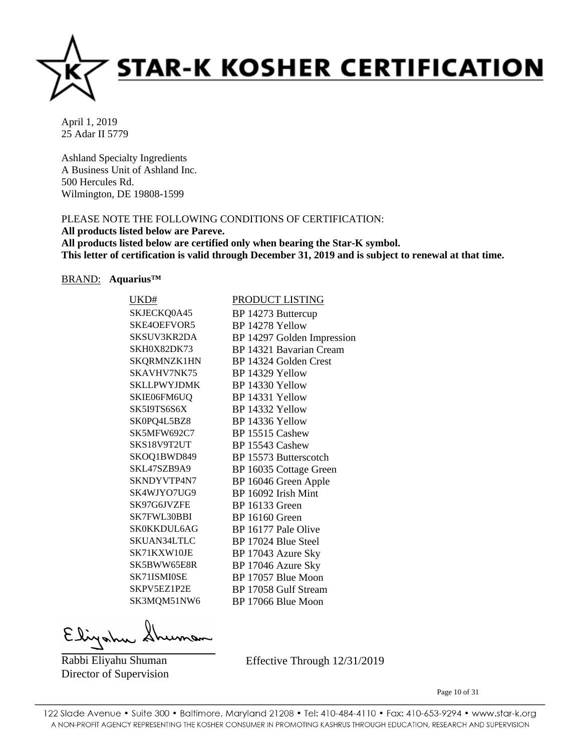

Ashland Specialty Ingredients A Business Unit of Ashland Inc. 500 Hercules Rd. Wilmington, DE 19808-1599

# PLEASE NOTE THE FOLLOWING CONDITIONS OF CERTIFICATION:

**All products listed below are Pareve.**

**All products listed below are certified only when bearing the Star-K symbol. This letter of certification is valid through December 31, 2019 and is subject to renewal at that time.**

#### BRAND: **Aquarius™**

| UKD#               | PRODUCT LISTING            |
|--------------------|----------------------------|
| SKJECKQ0A45        | BP 14273 Buttercup         |
| SKE4OEFVOR5        | BP 14278 Yellow            |
| SKSUV3KR2DA        | BP 14297 Golden Impression |
| SKH0X82DK73        | BP 14321 Bavarian Cream    |
| SKQRMNZK1HN        | BP 14324 Golden Crest      |
| SKAVHV7NK75        | BP 14329 Yellow            |
| <b>SKLLPWYJDMK</b> | BP 14330 Yellow            |
| SKIE06FM6UQ        | BP 14331 Yellow            |
| SK5I9TS6S6X        | BP 14332 Yellow            |
| SK0PQ4L5BZ8        | BP 14336 Yellow            |
| SK5MFW692C7        | BP 15515 Cashew            |
| SKS18V9T2UT        | BP 15543 Cashew            |
| SKOQ1BWD849        | BP 15573 Butterscotch      |
| SKL47SZB9A9        | BP 16035 Cottage Green     |
| SKNDYVTP4N7        | BP 16046 Green Apple       |
| SK4WJYO7UG9        | BP 16092 Irish Mint        |
| SK97G6JVZFE        | <b>BP</b> 16133 Green      |
| SK7FWL30BBI        | <b>BP</b> 16160 Green      |
| SK0KKDUL6AG        | BP 16177 Pale Olive        |
| SKUAN34LTLC        | BP 17024 Blue Steel        |
| SK71KXW10JE        | BP 17043 Azure Sky         |
| SK5BWW65E8R        | BP 17046 Azure Sky         |
| SK71ISMI0SE        | BP 17057 Blue Moon         |
| SKPV5EZ1P2E        | BP 17058 Gulf Stream       |
| SK3MQM51NW6        | BP 17066 Blue Moon         |
|                    |                            |

Elizahu

Rabbi Eliyahu Shuman Director of Supervision Effective Through 12/31/2019

Page 10 of 31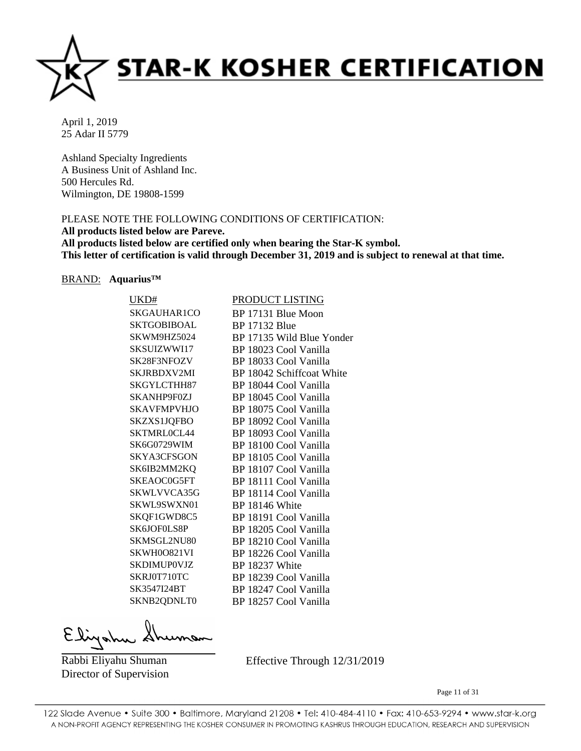

Ashland Specialty Ingredients A Business Unit of Ashland Inc. 500 Hercules Rd. Wilmington, DE 19808-1599

# PLEASE NOTE THE FOLLOWING CONDITIONS OF CERTIFICATION:

**All products listed below are Pareve.**

**All products listed below are certified only when bearing the Star-K symbol. This letter of certification is valid through December 31, 2019 and is subject to renewal at that time.**

# BRAND: **Aquarius™**

| UKD#               | PRODUCT LISTING           |
|--------------------|---------------------------|
| SKGAUHAR1CO        | BP 17131 Blue Moon        |
| <b>SKTGOBIBOAL</b> | <b>BP</b> 17132 Blue      |
| SKWM9HZ5024        | BP 17135 Wild Blue Yonder |
| SKSUIZWWI17        | BP 18023 Cool Vanilla     |
| SK28F3NFOZV        | BP 18033 Cool Vanilla     |
| SKJRBDXV2MI        | BP 18042 Schiffcoat White |
| SKGYLCTHH87        | BP 18044 Cool Vanilla     |
| SKANHP9F0ZJ        | BP 18045 Cool Vanilla     |
| <b>SKAVFMPVHJO</b> | BP 18075 Cool Vanilla     |
| <b>SKZXS1JQFBO</b> | BP 18092 Cool Vanilla     |
| SKTMRL0CL44        | BP 18093 Cool Vanilla     |
| SK6G0729WIM        | BP 18100 Cool Vanilla     |
| SKYA3CFSGON        | BP 18105 Cool Vanilla     |
| SK6IB2MM2KQ        | BP 18107 Cool Vanilla     |
| SKEAOC0G5FT        | BP 18111 Cool Vanilla     |
| SKWLVVCA35G        | BP 18114 Cool Vanilla     |
| SKWL9SWXN01        | BP 18146 White            |
| SKQF1GWD8C5        | BP 18191 Cool Vanilla     |
| SK6JOF0LS8P        | BP 18205 Cool Vanilla     |
| SKMSGL2NU80        | BP 18210 Cool Vanilla     |
| SKWH0O821VI        | BP 18226 Cool Vanilla     |
| <b>SKDIMUPOVJZ</b> | BP 18237 White            |
| SKRJ0T710TC        | BP 18239 Cool Vanilla     |
| SK3547I24BT        | BP 18247 Cool Vanilla     |
| SKNB2QDNLT0        | BP 18257 Cool Vanilla     |
|                    |                           |

Elizahu

Rabbi Eliyahu Shuman Director of Supervision Effective Through 12/31/2019

Page 11 of 31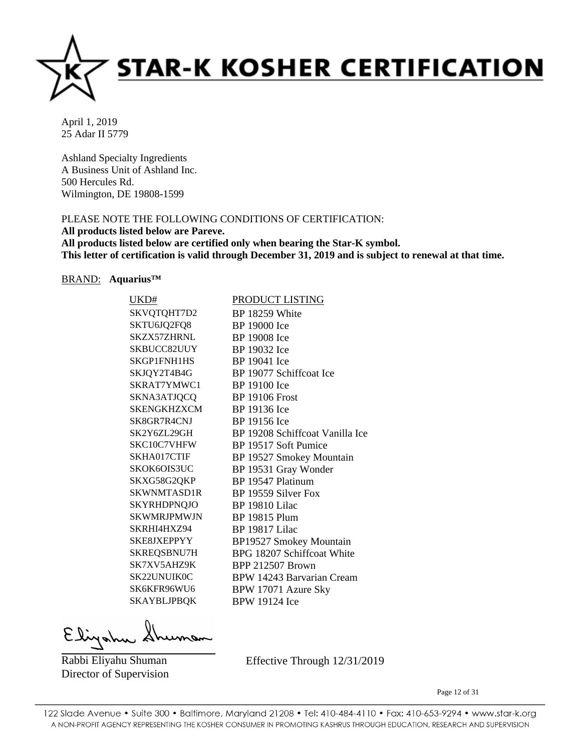

Ashland Specialty Ingredients A Business Unit of Ashland Inc. 500 Hercules Rd. Wilmington, DE 19808-1599

# PLEASE NOTE THE FOLLOWING CONDITIONS OF CERTIFICATION:

**All products listed below are Pareve.**

**All products listed below are certified only when bearing the Star-K symbol. This letter of certification is valid through December 31, 2019 and is subject to renewal at that time.**

#### BRAND: **Aquarius™**

| UKD#               | <b>PRODUCT LISTING</b>          |
|--------------------|---------------------------------|
| SKVQTQHT7D2        | BP 18259 White                  |
| SKTU6JQ2FQ8        | BP 19000 Ice                    |
| SKZX57ZHRNL        | <b>BP</b> 19008 Ice             |
| SKBUCC82UUY        | BP 19032 Ice                    |
| SKGP1FNH1HS        | BP 19041 Ice                    |
| SKJQY2T4B4G        | BP 19077 Schiffcoat Ice         |
| SKRAT7YMWC1        | BP 19100 Ice                    |
| SKNA3ATJQCQ        | <b>BP 19106 Frost</b>           |
| <b>SKENGKHZXCM</b> | BP 19136 Ice                    |
| SK8GR7R4CNJ        | BP 19156 Ice                    |
| SK2Y6ZL29GH        | BP 19208 Schiffcoat Vanilla Ice |
| SKC10C7VHFW        | BP 19517 Soft Pumice            |
| SKHA017CTIF        | BP 19527 Smokey Mountain        |
| SKOK6OIS3UC        | BP 19531 Gray Wonder            |
| SKXG58G2QKP        | BP 19547 Platinum               |
| SKWNMTASD1R        | BP 19559 Silver Fox             |
| <b>SKYRHDPNQJO</b> | <b>BP</b> 19810 Lilac           |
| <b>SKWMRJPMWJN</b> | <b>BP 19815 Plum</b>            |
| SKRHI4HXZ94        | <b>BP</b> 19817 Lilac           |
| SKE8JXEPPYY        | <b>BP19527 Smokey Mountain</b>  |
| SKREQSBNU7H        | BPG 18207 Schiffcoat White      |
| SK7XV5AHZ9K        | <b>BPP 212507 Brown</b>         |
| SK22UNUIK0C        | BPW 14243 Barvarian Cream       |
| SK6KFR96WU6        | BPW 17071 Azure Sky             |
| <b>SKAYBLJPBQK</b> | <b>BPW 19124 Ice</b>            |
|                    |                                 |

Elizahu

Rabbi Eliyahu Shuman Director of Supervision Effective Through 12/31/2019

Page 12 of 31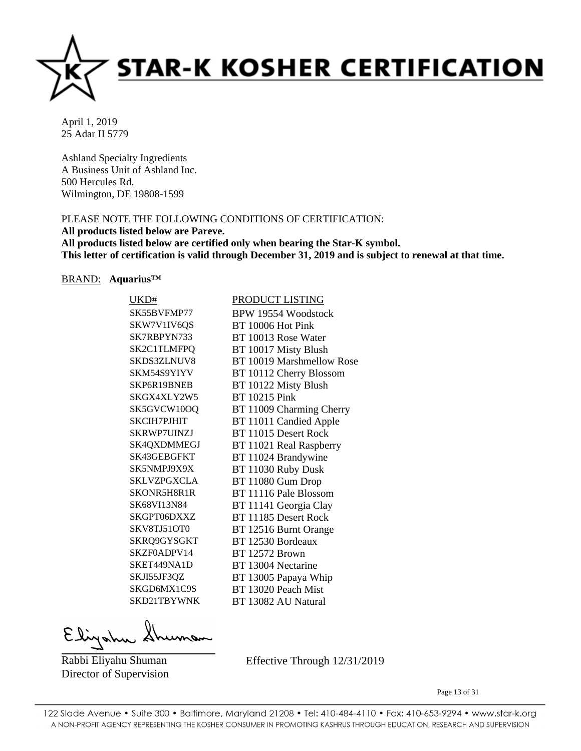

Ashland Specialty Ingredients A Business Unit of Ashland Inc. 500 Hercules Rd. Wilmington, DE 19808-1599

# PLEASE NOTE THE FOLLOWING CONDITIONS OF CERTIFICATION:

**All products listed below are Pareve.**

**All products listed below are certified only when bearing the Star-K symbol. This letter of certification is valid through December 31, 2019 and is subject to renewal at that time.**

#### BRAND: **Aquarius™**

| UKD#               | PRODUCT LISTING           |
|--------------------|---------------------------|
| SK55BVFMP77        | BPW 19554 Woodstock       |
| SKW7V1IV6QS        | BT 10006 Hot Pink         |
| SK7RBPYN733        | BT 10013 Rose Water       |
| SK2C1TLMFPQ        | BT 10017 Misty Blush      |
| SKDS3ZLNUV8        | BT 10019 Marshmellow Rose |
| SKM54S9YIYV        | BT 10112 Cherry Blossom   |
| SKP6R19BNEB        | BT 10122 Misty Blush      |
| SKGX4XLY2W5        | <b>BT</b> 10215 Pink      |
| SK5GVCW10OQ        | BT 11009 Charming Cherry  |
| <b>SKCIH7PJHIT</b> | BT 11011 Candied Apple    |
| SKRWP7UINZJ        | BT 11015 Desert Rock      |
| SK4QXDMMEGJ        | BT 11021 Real Raspberry   |
| SK43GEBGFKT        | BT 11024 Brandywine       |
| SK5NMPJ9X9X        | BT 11030 Ruby Dusk        |
| <b>SKLVZPGXCLA</b> | BT 11080 Gum Drop         |
| SKONR5H8R1R        | BT 11116 Pale Blossom     |
| <b>SK68VI13N84</b> | BT 11141 Georgia Clay     |
| SKGPT06DXXZ        | BT 11185 Desert Rock      |
| SKV8TJ51OT0        | BT 12516 Burnt Orange     |
| SKRQ9GYSGKT        | BT 12530 Bordeaux         |
| SKZF0ADPV14        | <b>BT</b> 12572 Brown     |
| SKET449NA1D        | BT 13004 Nectarine        |
| SKJI55JF3QZ        | BT 13005 Papaya Whip      |
| SKGD6MX1C9S        | BT 13020 Peach Mist       |
| SKD21TBYWNK        | BT 13082 AU Natural       |
|                    |                           |

Elizahu

Rabbi Eliyahu Shuman Director of Supervision Effective Through 12/31/2019

Page 13 of 31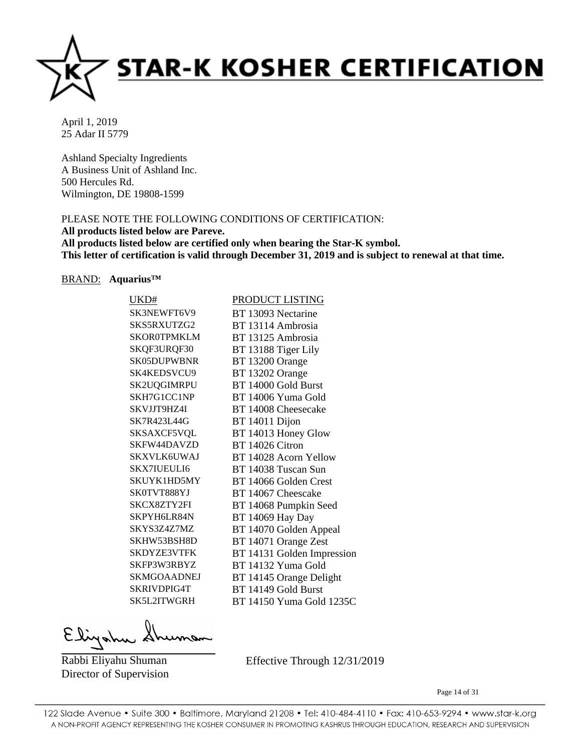

Ashland Specialty Ingredients A Business Unit of Ashland Inc. 500 Hercules Rd. Wilmington, DE 19808-1599

# PLEASE NOTE THE FOLLOWING CONDITIONS OF CERTIFICATION:

**All products listed below are Pareve.**

**All products listed below are certified only when bearing the Star-K symbol. This letter of certification is valid through December 31, 2019 and is subject to renewal at that time.**

#### BRAND: **Aquarius™**

| UKD#               | PRODUCT LISTING            |
|--------------------|----------------------------|
| SK3NEWFT6V9        | BT 13093 Nectarine         |
| SKS5RXUTZG2        | BT 13114 Ambrosia          |
| <b>SKOR0TPMKLM</b> | BT 13125 Ambrosia          |
| SKQF3URQF30        | BT 13188 Tiger Lily        |
| SK05DUPWBNR        | BT 13200 Orange            |
| SK4KEDSVCU9        | BT 13202 Orange            |
| SK2UQGIMRPU        | BT 14000 Gold Burst        |
| SKH7G1CC1NP        | BT 14006 Yuma Gold         |
| SKVJJT9HZ4I        | BT 14008 Cheesecake        |
| SK7R423L44G        | BT 14011 Dijon             |
| SKSAXCF5VQL        | BT 14013 Honey Glow        |
| SKFW44DAVZD        | BT 14026 Citron            |
| <b>SKXVLK6UWAJ</b> | BT 14028 Acorn Yellow      |
| <b>SKX7IUEULI6</b> | BT 14038 Tuscan Sun        |
| SKUYK1HD5MY        | BT 14066 Golden Crest      |
| SK0TVT888YJ        | BT 14067 Cheescake         |
| SKCX8ZTY2FI        | BT 14068 Pumpkin Seed      |
| SKPYH6LR84N        | BT 14069 Hay Day           |
| SKYS3Z4Z7MZ        | BT 14070 Golden Appeal     |
| SKHW53BSH8D        | BT 14071 Orange Zest       |
| <b>SKDYZE3VTFK</b> | BT 14131 Golden Impression |
| SKFP3W3RBYZ        | BT 14132 Yuma Gold         |
| <b>SKMGOAADNEJ</b> | BT 14145 Orange Delight    |
| SKRIVDPIG4T        | BT 14149 Gold Burst        |
| SK5L2ITWGRH        | BT 14150 Yuma Gold 1235C   |
|                    |                            |

Elizahu

Rabbi Eliyahu Shuman Director of Supervision Effective Through 12/31/2019

Page 14 of 31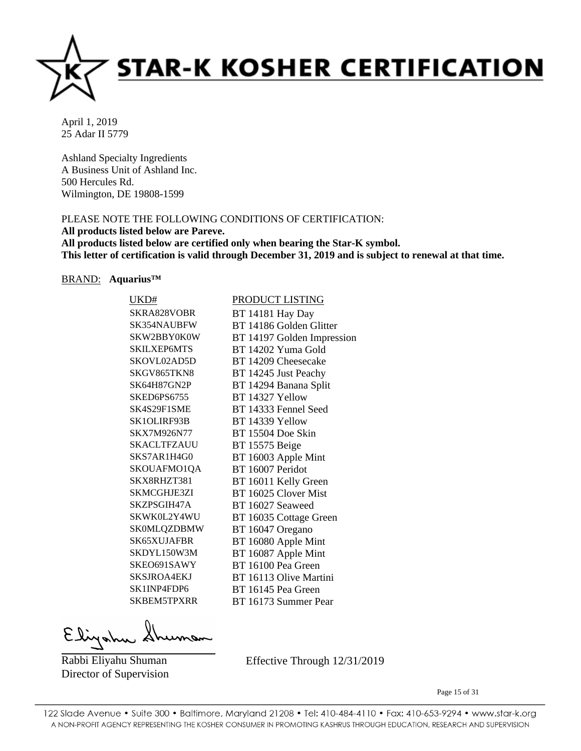

Ashland Specialty Ingredients A Business Unit of Ashland Inc. 500 Hercules Rd. Wilmington, DE 19808-1599

# PLEASE NOTE THE FOLLOWING CONDITIONS OF CERTIFICATION:

**All products listed below are Pareve.**

**All products listed below are certified only when bearing the Star-K symbol. This letter of certification is valid through December 31, 2019 and is subject to renewal at that time.**

#### BRAND: **Aquarius™**

| UKD#               | <b>PRODUCT LISTING</b>     |
|--------------------|----------------------------|
| SKRA828VOBR        | BT 14181 Hay Day           |
| SK354NAUBFW        | BT 14186 Golden Glitter    |
| SKW2BBY0K0W        | BT 14197 Golden Impression |
| <b>SKILXEP6MTS</b> | BT 14202 Yuma Gold         |
| SKOVL02AD5D        | BT 14209 Cheesecake        |
| SKGV865TKN8        | BT 14245 Just Peachy       |
| SK64H87GN2P        | BT 14294 Banana Split      |
| SKED6PS6755        | BT 14327 Yellow            |
| SK4S29F1SME        | BT 14333 Fennel Seed       |
| SK1OLIRF93B        | BT 14339 Yellow            |
| SKX7M926N77        | BT 15504 Doe Skin          |
| <b>SKACLTFZAUU</b> | <b>BT</b> 15575 Beige      |
| SKS7AR1H4G0        | BT 16003 Apple Mint        |
| SKOUAFMO1QA        | BT 16007 Peridot           |
| SKX8RHZT381        | BT 16011 Kelly Green       |
| SKMCGHJE3ZI        | BT 16025 Clover Mist       |
| SKZPSGIH47A        | BT 16027 Seaweed           |
| SKWK0L2Y4WU        | BT 16035 Cottage Green     |
| <b>SK0MLQZDBMW</b> | BT 16047 Oregano           |
| SK65XUJAFBR        | BT 16080 Apple Mint        |
| SKDYL150W3M        | BT 16087 Apple Mint        |
| SKEO691SAWY        | BT 16100 Pea Green         |
| <b>SKSJROA4EKJ</b> | BT 16113 Olive Martini     |
| SK1INP4FDP6        | BT 16145 Pea Green         |
| SKBEM5TPXRR        | BT 16173 Summer Pear       |
|                    |                            |

Elizahu

Rabbi Eliyahu Shuman Director of Supervision Effective Through 12/31/2019

Page 15 of 31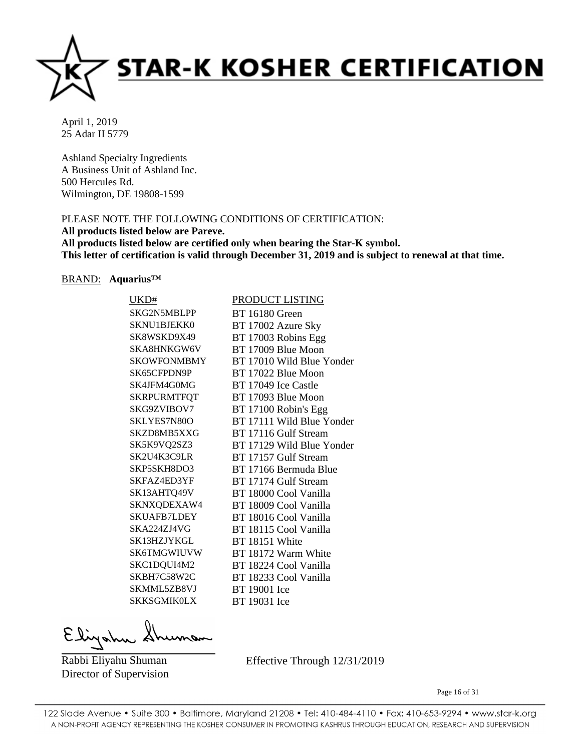

Ashland Specialty Ingredients A Business Unit of Ashland Inc. 500 Hercules Rd. Wilmington, DE 19808-1599

# PLEASE NOTE THE FOLLOWING CONDITIONS OF CERTIFICATION:

**All products listed below are Pareve.**

**All products listed below are certified only when bearing the Star-K symbol. This letter of certification is valid through December 31, 2019 and is subject to renewal at that time.**

#### BRAND: **Aquarius™**

| UKD#               | PRODUCT LISTING           |
|--------------------|---------------------------|
| SKG2N5MBLPP        | <b>BT</b> 16180 Green     |
| SKNU1BJEKK0        | BT 17002 Azure Sky        |
| SK8WSKD9X49        | BT 17003 Robins Egg       |
| SKA8HNKGW6V        | BT 17009 Blue Moon        |
| <b>SKOWFONMBMY</b> | BT 17010 Wild Blue Yonder |
| SK65CFPDN9P        | BT 17022 Blue Moon        |
| SK4JFM4G0MG        | BT 17049 Ice Castle       |
| <b>SKRPURMTFQT</b> | BT 17093 Blue Moon        |
| SKG9ZVIBOV7        | BT 17100 Robin's Egg      |
| SKLYES7N80O        | BT 17111 Wild Blue Yonder |
| SKZD8MB5XXG        | BT 17116 Gulf Stream      |
| SK5K9VQ2SZ3        | BT 17129 Wild Blue Yonder |
| SK2U4K3C9LR        | BT 17157 Gulf Stream      |
| SKP5SKH8DO3        | BT 17166 Bermuda Blue     |
| SKFAZ4ED3YF        | BT 17174 Gulf Stream      |
| SK13AHTQ49V        | BT 18000 Cool Vanilla     |
| SKNXQDEXAW4        | BT 18009 Cool Vanilla     |
| <b>SKUAFB7LDEY</b> | BT 18016 Cool Vanilla     |
| SKA224ZJ4VG        | BT 18115 Cool Vanilla     |
| SK13HZJYKGL        | BT 18151 White            |
| <b>SK6TMGWIUVW</b> | BT 18172 Warm White       |
| SKC1DQUI4M2        | BT 18224 Cool Vanilla     |
| SKBH7C58W2C        | BT 18233 Cool Vanilla     |
| SKMML5ZB8VJ        | BT 19001 Ice              |
| <b>SKKSGMIK0LX</b> | BT 19031 Ice              |
|                    |                           |

Elizahu

Rabbi Eliyahu Shuman Director of Supervision Effective Through 12/31/2019

Page 16 of 31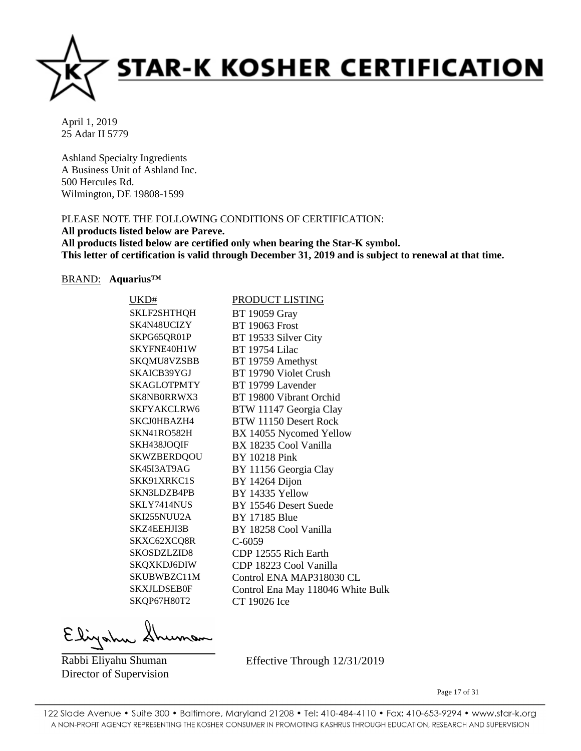

Ashland Specialty Ingredients A Business Unit of Ashland Inc. 500 Hercules Rd. Wilmington, DE 19808-1599

# PLEASE NOTE THE FOLLOWING CONDITIONS OF CERTIFICATION:

**All products listed below are Pareve.**

**All products listed below are certified only when bearing the Star-K symbol. This letter of certification is valid through December 31, 2019 and is subject to renewal at that time.**

#### BRAND: **Aquarius™**

| UKD#               | <b>PRODUCT LISTING</b>            |
|--------------------|-----------------------------------|
| <b>SKLF2SHTHQH</b> | <b>BT</b> 19059 Gray              |
| SK4N48UCIZY        | <b>BT 19063 Frost</b>             |
| SKPG65QR01P        | BT 19533 Silver City              |
| SKYFNE40H1W        | <b>BT</b> 19754 Lilac             |
| SKQMU8VZSBB        | BT 19759 Amethyst                 |
| SKAICB39YGJ        | BT 19790 Violet Crush             |
| <b>SKAGLOTPMTY</b> | BT 19799 Lavender                 |
| SK8NB0RRWX3        | BT 19800 Vibrant Orchid           |
| SKFYAKCLRW6        | BTW 11147 Georgia Clay            |
| SKCJ0HBAZH4        | BTW 11150 Desert Rock             |
| SKN41RO582H        | BX 14055 Nycomed Yellow           |
| SKH438JOQIF        | BX 18235 Cool Vanilla             |
| <b>SKWZBERDQOU</b> | <b>BY 10218 Pink</b>              |
| SK45I3AT9AG        | BY 11156 Georgia Clay             |
| SKK91XRKC1S        | BY 14264 Dijon                    |
| SKN3LDZB4PB        | BY 14335 Yellow                   |
| SKLY7414NUS        | BY 15546 Desert Suede             |
| SKI255NUU2A        | <b>BY 17185 Blue</b>              |
| SKZ4EEHJI3B        | BY 18258 Cool Vanilla             |
| SKXC62XCQ8R        | $C-6059$                          |
| SKOSDZLZID8        | CDP 12555 Rich Earth              |
| SKQXKDJ6DIW        | CDP 18223 Cool Vanilla            |
| SKUBWBZC11M        | Control ENA MAP318030 CL          |
| <b>SKXJLDSEB0F</b> | Control Ena May 118046 White Bulk |
| SKQP67H80T2        | CT 19026 Ice                      |
|                    |                                   |

Elizahu

Rabbi Eliyahu Shuman Director of Supervision Effective Through 12/31/2019

Page 17 of 31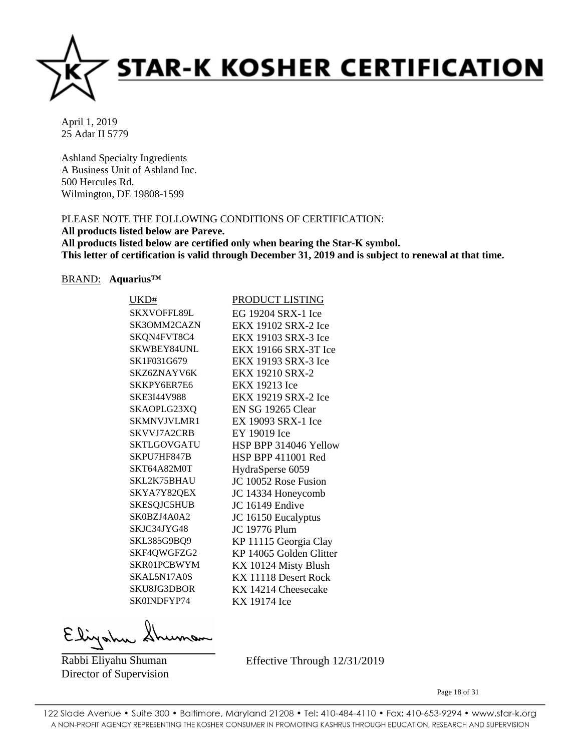

Ashland Specialty Ingredients A Business Unit of Ashland Inc. 500 Hercules Rd. Wilmington, DE 19808-1599

# PLEASE NOTE THE FOLLOWING CONDITIONS OF CERTIFICATION:

**All products listed below are Pareve.**

**All products listed below are certified only when bearing the Star-K symbol. This letter of certification is valid through December 31, 2019 and is subject to renewal at that time.**

#### BRAND: **Aquarius™**

| UKD#               | PRODUCT LISTING           |
|--------------------|---------------------------|
| <b>SKXVOFFL89L</b> | EG 19204 SRX-1 Ice        |
| SK3OMM2CAZN        | EKX 19102 SRX-2 Ice       |
| SKQN4FVT8C4        | EKX 19103 SRX-3 Ice       |
| <b>SKWBEY84UNL</b> | EKX 19166 SRX-3T Ice      |
| SK1F031G679        | EKX 19193 SRX-3 Ice       |
| SKZ6ZNAYV6K        | EKX 19210 SRX-2           |
| SKKPY6ER7E6        | <b>EKX 19213 Ice</b>      |
| <b>SKE3I44V988</b> | EKX 19219 SRX-2 Ice       |
| SKAOPLG23XQ        | EN SG 19265 Clear         |
| SKMNVJVLMR1        | EX 19093 SRX-1 Ice        |
| <b>SKVVJ7A2CRB</b> | EY 19019 Ice              |
| SKTLGOVGATU        | HSP BPP 314046 Yellow     |
| SKPU7HF847B        | <b>HSP BPP 411001 Red</b> |
| SKT64A82M0T        | HydraSperse 6059          |
| SKL2K75BHAU        | JC 10052 Rose Fusion      |
| SKYA7Y82QEX        | JC 14334 Honeycomb        |
| <b>SKESQJC5HUB</b> | JC 16149 Endive           |
| SK0BZJ4A0A2        | JC 16150 Eucalyptus       |
| SKJC34JYG48        | <b>JC 19776 Plum</b>      |
| SKL385G9BQ9        | KP 11115 Georgia Clay     |
| SKF4QWGFZG2        | KP 14065 Golden Glitter   |
| SKR01PCBWYM        | KX 10124 Misty Blush      |
| SKAL5N17A0S        | KX 11118 Desert Rock      |
| <b>SKU8JG3DBOR</b> | KX 14214 Cheesecake       |
| SK0INDFYP74        | KX 19174 Ice              |
|                    |                           |

Elizahu

Rabbi Eliyahu Shuman Director of Supervision Effective Through 12/31/2019

Page 18 of 31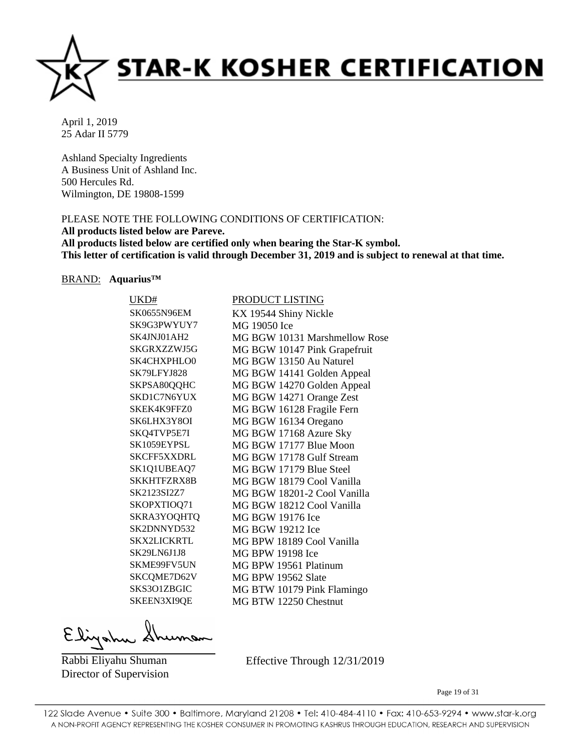

Ashland Specialty Ingredients A Business Unit of Ashland Inc. 500 Hercules Rd. Wilmington, DE 19808-1599

# PLEASE NOTE THE FOLLOWING CONDITIONS OF CERTIFICATION:

**All products listed below are Pareve.**

**All products listed below are certified only when bearing the Star-K symbol. This letter of certification is valid through December 31, 2019 and is subject to renewal at that time.**

#### BRAND: **Aquarius™**

| UKD#               | PRODUCT LISTING               |
|--------------------|-------------------------------|
| SK0655N96EM        | KX 19544 Shiny Nickle         |
| SK9G3PWYUY7        | MG 19050 Ice                  |
| SK4JNJ01AH2        | MG BGW 10131 Marshmellow Rose |
| SKGRXZZWJ5G        | MG BGW 10147 Pink Grapefruit  |
| <b>SK4CHXPHLO0</b> | MG BGW 13150 Au Naturel       |
| SK79LFYJ828        | MG BGW 14141 Golden Appeal    |
| SKPSA80QQHC        | MG BGW 14270 Golden Appeal    |
| SKD1C7N6YUX        | MG BGW 14271 Orange Zest      |
| SKEK4K9FFZ0        | MG BGW 16128 Fragile Fern     |
| SK6LHX3Y8OI        | MG BGW 16134 Oregano          |
| SKQ4TVP5E7I        | MG BGW 17168 Azure Sky        |
| SK1059EYPSL        | MG BGW 17177 Blue Moon        |
| <b>SKCFF5XXDRL</b> | MG BGW 17178 Gulf Stream      |
| SK1Q1UBEAQ7        | MG BGW 17179 Blue Steel       |
| SKKHTFZRX8B        | MG BGW 18179 Cool Vanilla     |
| SK2123SI2Z7        | MG BGW 18201-2 Cool Vanilla   |
| SKOPXTIOQ71        | MG BGW 18212 Cool Vanilla     |
| SKRA3YOQHTQ        | MG BGW 19176 Ice              |
| SK2DNNYD532        | MG BGW 19212 Ice              |
| <b>SKX2LICKRTL</b> | MG BPW 18189 Cool Vanilla     |
| SK29LN6J1J8        | MG BPW 19198 Ice              |
| SKME99FV5UN        | MG BPW 19561 Platinum         |
| SKCQME7D62V        | MG BPW 19562 Slate            |
| SKS3O1ZBGIC        | MG BTW 10179 Pink Flamingo    |
| SKEEN3XI9QE        | MG BTW 12250 Chestnut         |
|                    |                               |

Elizahu

Rabbi Eliyahu Shuman Director of Supervision Effective Through 12/31/2019

Page 19 of 31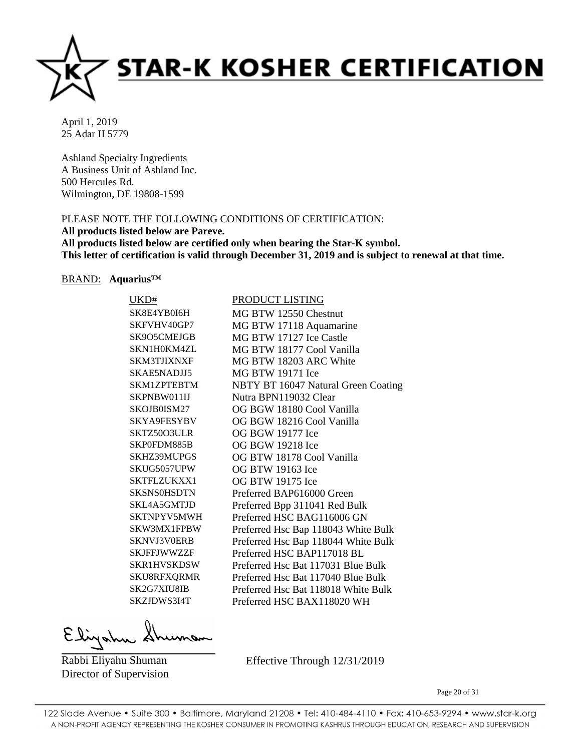

Ashland Specialty Ingredients A Business Unit of Ashland Inc. 500 Hercules Rd. Wilmington, DE 19808-1599

# PLEASE NOTE THE FOLLOWING CONDITIONS OF CERTIFICATION:

**All products listed below are Pareve.**

**All products listed below are certified only when bearing the Star-K symbol. This letter of certification is valid through December 31, 2019 and is subject to renewal at that time.**

#### BRAND: **Aquarius™**

| UKD#               | PRODUCT LISTING                     |
|--------------------|-------------------------------------|
| SK8E4YB0I6H        | MG BTW 12550 Chestnut               |
| SKFVHV40GP7        | MG BTW 17118 Aquamarine             |
| SK9O5CMEJGB        | MG BTW 17127 Ice Castle             |
| SKN1H0KM4ZL        | MG BTW 18177 Cool Vanilla           |
| <b>SKM3TJIXNXF</b> | MG BTW 18203 ARC White              |
| SKAE5NADJJ5        | <b>MG BTW 19171 Ice</b>             |
| SKM1ZPTEBTM        | NBTY BT 16047 Natural Green Coating |
| SKPNBW011IJ        | Nutra BPN119032 Clear               |
| SKOJB0ISM27        | OG BGW 18180 Cool Vanilla           |
| SKYA9FESYBV        | OG BGW 18216 Cool Vanilla           |
| SKTZ50O3ULR        | OG BGW 19177 Ice                    |
| SKP0FDM885B        | OG BGW 19218 Ice                    |
| <b>SKHZ39MUPGS</b> | OG BTW 18178 Cool Vanilla           |
| SKUG5057UPW        | OG BTW 19163 Ice                    |
| SKTFLZUKXX1        | OG BTW 19175 Ice                    |
| <b>SKSNS0HSDTN</b> | Preferred BAP616000 Green           |
| SKL4A5GMTJD        | Preferred Bpp 311041 Red Bulk       |
| SKTNPYV5MWH        | Preferred HSC BAG116006 GN          |
| SKW3MX1FPBW        | Preferred Hsc Bap 118043 White Bulk |
| SKNVJ3V0ERB        | Preferred Hsc Bap 118044 White Bulk |
| <b>SKJFFJWWZZF</b> | Preferred HSC BAP117018 BL          |
| SKR1HVSKDSW        | Preferred Hsc Bat 117031 Blue Bulk  |
| SKU8RFXQRMR        | Preferred Hsc Bat 117040 Blue Bulk  |
| SK2G7XIU8IB        | Preferred Hsc Bat 118018 White Bulk |
| SKZJDWS3I4T        | Preferred HSC BAX118020 WH          |
|                    |                                     |

Elizahu

Rabbi Eliyahu Shuman Director of Supervision Effective Through 12/31/2019

Page 20 of 31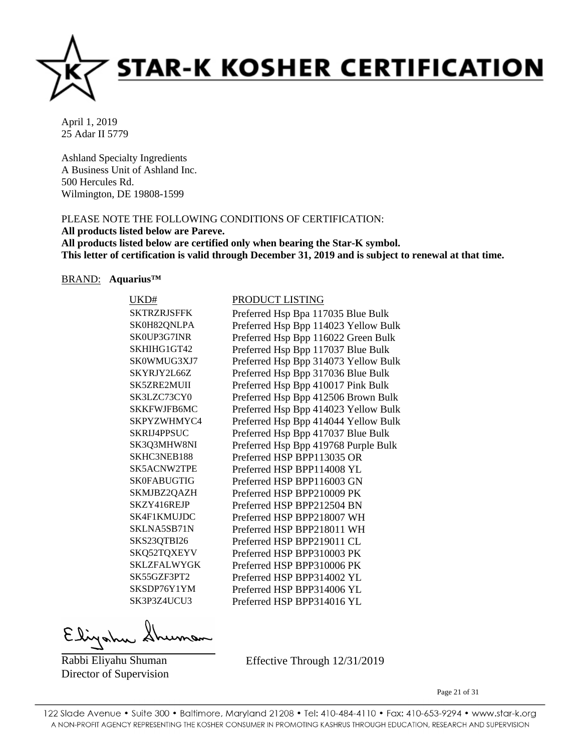

Ashland Specialty Ingredients A Business Unit of Ashland Inc. 500 Hercules Rd. Wilmington, DE 19808-1599

# PLEASE NOTE THE FOLLOWING CONDITIONS OF CERTIFICATION:

# **All products listed below are Pareve.**

**All products listed below are certified only when bearing the Star-K symbol. This letter of certification is valid through December 31, 2019 and is subject to renewal at that time.**

#### BRAND: **Aquarius™**

| UKD#               | PRODUCT LISTING                      |
|--------------------|--------------------------------------|
| <b>SKTRZRJSFFK</b> | Preferred Hsp Bpa 117035 Blue Bulk   |
| SK0H82QNLPA        | Preferred Hsp Bpp 114023 Yellow Bulk |
| SK0UP3G7INR        | Preferred Hsp Bpp 116022 Green Bulk  |
| SKHIHG1GT42        | Preferred Hsp Bpp 117037 Blue Bulk   |
| SK0WMUG3XJ7        | Preferred Hsp Bpp 314073 Yellow Bulk |
| SKYRJY2L66Z        | Preferred Hsp Bpp 317036 Blue Bulk   |
| SK5ZRE2MUII        | Preferred Hsp Bpp 410017 Pink Bulk   |
| SK3LZC73CY0        | Preferred Hsp Bpp 412506 Brown Bulk  |
| <b>SKKFWJFB6MC</b> | Preferred Hsp Bpp 414023 Yellow Bulk |
| SKPYZWHMYC4        | Preferred Hsp Bpp 414044 Yellow Bulk |
| SKRIJ4PPSUC        | Preferred Hsp Bpp 417037 Blue Bulk   |
| SK3Q3MHW8NI        | Preferred Hsp Bpp 419768 Purple Bulk |
| SKHC3NEB188        | Preferred HSP BPP113035 OR           |
| SK5ACNW2TPE        | Preferred HSP BPP114008 YL           |
| SK0FABUGTIG        | Preferred HSP BPP116003 GN           |
| SKMJBZ2QAZH        | Preferred HSP BPP210009 PK           |
| SKZY416REJP        | Preferred HSP BPP212504 BN           |
| SK4F1KMUJDC        | Preferred HSP BPP218007 WH           |
| SKLNA5SB71N        | Preferred HSP BPP218011 WH           |
| SKS23QTBI26        | Preferred HSP BPP219011 CL           |
| SKQ52TQXEYV        | Preferred HSP BPP310003 PK           |
| <b>SKLZFALWYGK</b> | Preferred HSP BPP310006 PK           |
| SK55GZF3PT2        | Preferred HSP BPP314002 YL           |
| SKSDP76Y1YM        | Preferred HSP BPP314006 YL           |
| SK3P3Z4UCU3        | Preferred HSP BPP314016 YL           |
|                    |                                      |

Elizahu

Rabbi Eliyahu Shuman Director of Supervision Effective Through 12/31/2019

Page 21 of 31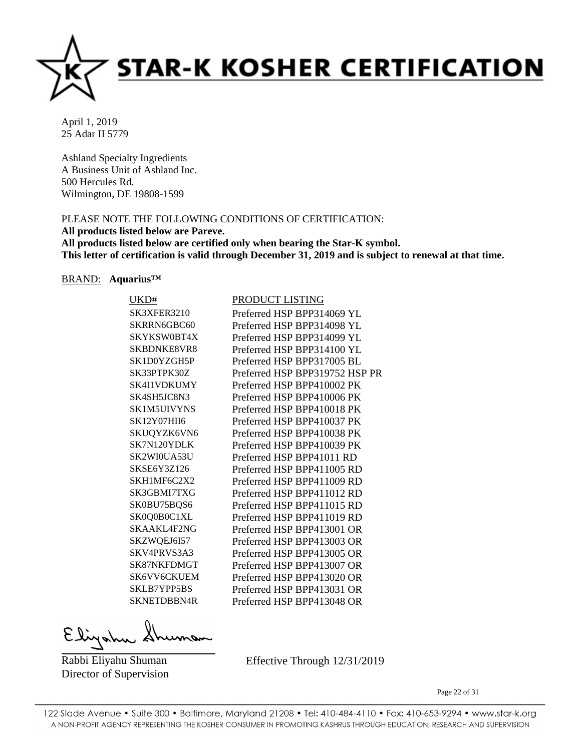

Ashland Specialty Ingredients A Business Unit of Ashland Inc. 500 Hercules Rd. Wilmington, DE 19808-1599

# PLEASE NOTE THE FOLLOWING CONDITIONS OF CERTIFICATION:

**All products listed below are Pareve.**

**All products listed below are certified only when bearing the Star-K symbol. This letter of certification is valid through December 31, 2019 and is subject to renewal at that time.**

#### BRAND: **Aquarius™**

| UKD#               | PRODUCT LISTING                |
|--------------------|--------------------------------|
| SK3XFER3210        | Preferred HSP BPP314069 YL     |
| SKRRN6GBC60        | Preferred HSP BPP314098 YL     |
| SKYKSW0BT4X        | Preferred HSP BPP314099 YL     |
| <b>SKBDNKE8VR8</b> | Preferred HSP BPP314100 YL     |
| SK1D0YZGH5P        | Preferred HSP BPP317005 BL     |
| SK33PTPK30Z        | Preferred HSP BPP319752 HSP PR |
| SK4I1VDKUMY        | Preferred HSP BPP410002 PK     |
| SK4SH5JC8N3        | Preferred HSP BPP410006 PK     |
| SK1M5UIVYNS        | Preferred HSP BPP410018 PK     |
| SK12Y07HII6        | Preferred HSP BPP410037 PK     |
| SKUQYZK6VN6        | Preferred HSP BPP410038 PK     |
| SK7N120YDLK        | Preferred HSP BPP410039 PK     |
| SK2WI0UA53U        | Preferred HSP BPP41011 RD      |
| SKSE6Y3Z126        | Preferred HSP BPP411005 RD     |
| SKH1MF6C2X2        | Preferred HSP BPP411009 RD     |
| SK3GBMI7TXG        | Preferred HSP BPP411012 RD     |
| SK0BU75BQS6        | Preferred HSP BPP411015 RD     |
| SK0Q0B0C1XL        | Preferred HSP BPP411019 RD     |
| SKAAKL4F2NG        | Preferred HSP BPP413001 OR     |
| SKZWQEJ6I57        | Preferred HSP BPP413003 OR     |
| SKV4PRVS3A3        | Preferred HSP BPP413005 OR     |
| SK87NKFDMGT        | Preferred HSP BPP413007 OR     |
| SK6VV6CKUEM        | Preferred HSP BPP413020 OR     |
| SKLB7YPP5BS        | Preferred HSP BPP413031 OR     |
| <b>SKNETDBBN4R</b> | Preferred HSP BPP413048 OR     |
|                    |                                |

Elizahu

Rabbi Eliyahu Shuman Director of Supervision Effective Through 12/31/2019

Page 22 of 31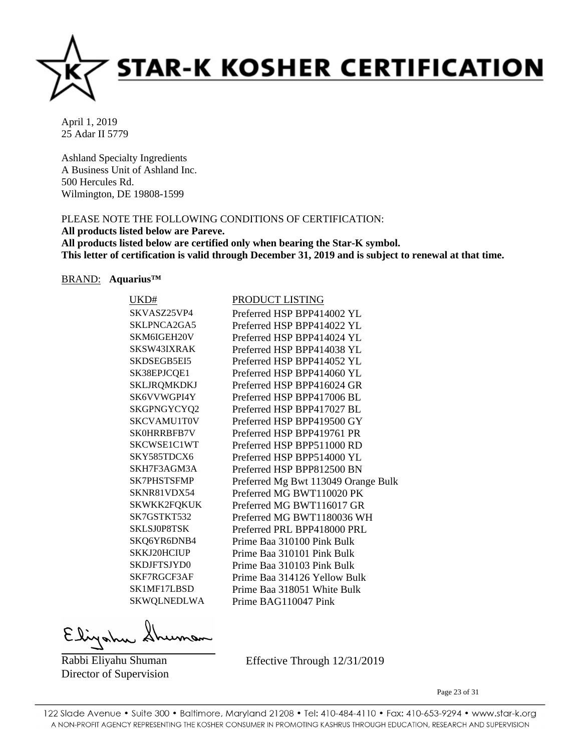

Ashland Specialty Ingredients A Business Unit of Ashland Inc. 500 Hercules Rd. Wilmington, DE 19808-1599

# PLEASE NOTE THE FOLLOWING CONDITIONS OF CERTIFICATION:

# **All products listed below are Pareve.**

**All products listed below are certified only when bearing the Star-K symbol. This letter of certification is valid through December 31, 2019 and is subject to renewal at that time.**

#### BRAND: **Aquarius™**

| UKD#               | PRODUCT LISTING                     |
|--------------------|-------------------------------------|
| SKVASZ25VP4        | Preferred HSP BPP414002 YL          |
| SKLPNCA2GA5        | Preferred HSP BPP414022 YL          |
| SKM6IGEH20V        | Preferred HSP BPP414024 YL          |
| SKSW43IXRAK        | Preferred HSP BPP414038 YL          |
| SKDSEGB5EI5        | Preferred HSP BPP414052 YL          |
| SK38EPJCQE1        | Preferred HSP BPP414060 YL          |
| SKLJRQMKDKJ        | Preferred HSP BPP416024 GR          |
| SK6VVWGPI4Y        | Preferred HSP BPP417006 BL          |
| SKGPNGYCYQ2        | Preferred HSP BPP417027 BL          |
| <b>SKCVAMU1T0V</b> | Preferred HSP BPP419500 GY          |
| SK0HRRBFB7V        | Preferred HSP BPP419761 PR          |
| SKCWSE1C1WT        | Preferred HSP BPP511000 RD          |
| SKY585TDCX6        | Preferred HSP BPP514000 YL          |
| SKH7F3AGM3A        | Preferred HSP BPP812500 BN          |
| SK7PHSTSFMP        | Preferred Mg Bwt 113049 Orange Bulk |
| SKNR81VDX54        | Preferred MG BWT110020 PK           |
| SKWKK2FQKUK        | Preferred MG BWT116017 GR           |
| SK7GSTKT532        | Preferred MG BWT1180036 WH          |
| <b>SKLSJ0P8TSK</b> | Preferred PRL BPP418000 PRL         |
| SKQ6YR6DNB4        | Prime Baa 310100 Pink Bulk          |
| SKKJ20HCIUP        | Prime Baa 310101 Pink Bulk          |
| SKDJFTSJYD0        | Prime Baa 310103 Pink Bulk          |
| SKF7RGCF3AF        | Prime Baa 314126 Yellow Bulk        |
| SK1MF17LBSD        | Prime Baa 318051 White Bulk         |
| SKWQLNEDLWA        | Prime BAG110047 Pink                |
|                    |                                     |

Elizahu

Rabbi Eliyahu Shuman Director of Supervision Effective Through 12/31/2019

Page 23 of 31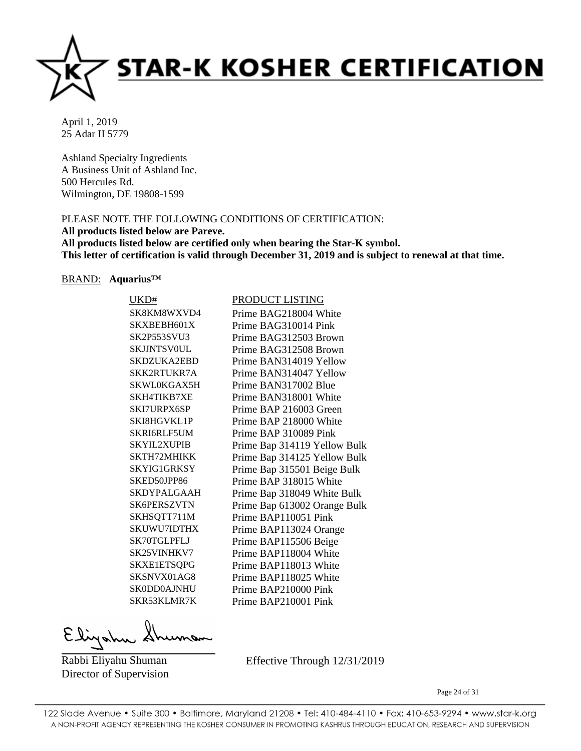

Ashland Specialty Ingredients A Business Unit of Ashland Inc. 500 Hercules Rd. Wilmington, DE 19808-1599

# PLEASE NOTE THE FOLLOWING CONDITIONS OF CERTIFICATION:

**All products listed below are Pareve.**

**All products listed below are certified only when bearing the Star-K symbol. This letter of certification is valid through December 31, 2019 and is subject to renewal at that time.**

#### BRAND: **Aquarius™**

| UKD#               | PRODUCT LISTING              |
|--------------------|------------------------------|
| SK8KM8WXVD4        | Prime BAG218004 White        |
| SKXBEBH601X        | Prime BAG310014 Pink         |
| <b>SK2P553SVU3</b> | Prime BAG312503 Brown        |
| <b>SKIJNTSVOUL</b> | Prime BAG312508 Brown        |
| SKDZUKA2EBD        | Prime BAN314019 Yellow       |
| SKK2RTUKR7A        | Prime BAN314047 Yellow       |
| SKWL0KGAX5H        | Prime BAN317002 Blue         |
| SKH4TIKB7XE        | Prime BAN318001 White        |
| SKI7URPX6SP        | Prime BAP 216003 Green       |
| <b>SKI8HGVKL1P</b> | Prime BAP 218000 White       |
| SKRI6RLF5UM        | Prime BAP 310089 Pink        |
| <b>SKYIL2XUPIB</b> | Prime Bap 314119 Yellow Bulk |
| SKTH72MHIKK        | Prime Bap 314125 Yellow Bulk |
| SKYIG1GRKSY        | Prime Bap 315501 Beige Bulk  |
| SKED50JPP86        | Prime BAP 318015 White       |
| <b>SKDYPALGAAH</b> | Prime Bap 318049 White Bulk  |
| <b>SK6PERSZVTN</b> | Prime Bap 613002 Orange Bulk |
| SKHSQTT711M        | Prime BAP110051 Pink         |
| SKUWU7IDTHX        | Prime BAP113024 Orange       |
| SK70TGLPFLJ        | Prime BAP115506 Beige        |
| SK25VINHKV7        | Prime BAP118004 White        |
| SKXE1ETSQPG        | Prime BAP118013 White        |
| SKSNVX01AG8        | Prime BAP118025 White        |
| <b>SK0DD0AJNHU</b> | Prime BAP210000 Pink         |
| SKR53KLMR7K        | Prime BAP210001 Pink         |
|                    |                              |

Elizahu

Rabbi Eliyahu Shuman Director of Supervision Effective Through 12/31/2019

Page 24 of 31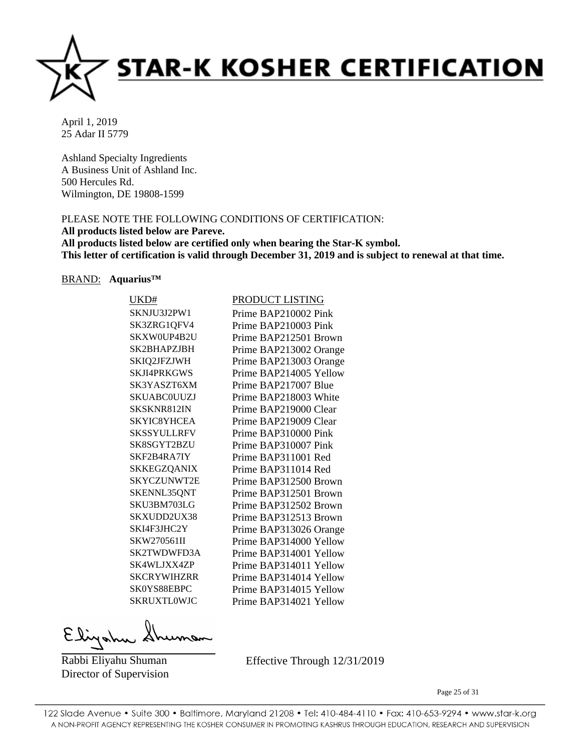

Ashland Specialty Ingredients A Business Unit of Ashland Inc. 500 Hercules Rd. Wilmington, DE 19808-1599

# PLEASE NOTE THE FOLLOWING CONDITIONS OF CERTIFICATION:

**All products listed below are Pareve.**

**All products listed below are certified only when bearing the Star-K symbol. This letter of certification is valid through December 31, 2019 and is subject to renewal at that time.**

#### BRAND: **Aquarius™**

| UKD#               | PRODUCT LISTING        |
|--------------------|------------------------|
| SKNJU3J2PW1        | Prime BAP210002 Pink   |
| SK3ZRG1QFV4        | Prime BAP210003 Pink   |
| SKXW0UP4B2U        | Prime BAP212501 Brown  |
| SK2BHAPZJBH        | Prime BAP213002 Orange |
| SKIQ2JFZJWH        | Prime BAP213003 Orange |
| SKJI4PRKGWS        | Prime BAP214005 Yellow |
| SK3YASZT6XM        | Prime BAP217007 Blue   |
| SKUABC0UUZJ        | Prime BAP218003 White  |
| SKSKNR812IN        | Prime BAP219000 Clear  |
| SKYIC8YHCEA        | Prime BAP219009 Clear  |
| SKSSYULLRFV        | Prime BAP310000 Pink   |
| SK8SGYT2BZU        | Prime BAP310007 Pink   |
| SKF2B4RA7IY        | Prime BAP311001 Red    |
| SKKEGZQANIX        | Prime BAP311014 Red    |
| SKYCZUNWT2E        | Prime BAP312500 Brown  |
| SKENNL35QNT        | Prime BAP312501 Brown  |
| SKU3BM703LG        | Prime BAP312502 Brown  |
| SKXUDD2UX38        | Prime BAP312513 Brown  |
| SKI4F3JHC2Y        | Prime BAP313026 Orange |
| SKW270561II        | Prime BAP314000 Yellow |
| SK2TWDWFD3A        | Prime BAP314001 Yellow |
| SK4WLJXX4ZP        | Prime BAP314011 Yellow |
| SKCRYWIHZRR        | Prime BAP314014 Yellow |
| SK0YS88EBPC        | Prime BAP314015 Yellow |
| <b>SKRUXTLOWJC</b> | Prime BAP314021 Yellow |
|                    |                        |

Elizahu

Rabbi Eliyahu Shuman Director of Supervision Effective Through 12/31/2019

Page 25 of 31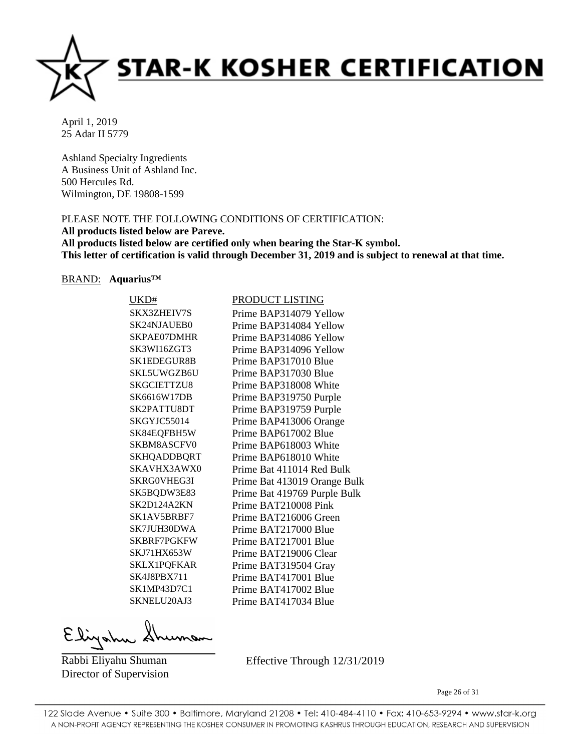

Ashland Specialty Ingredients A Business Unit of Ashland Inc. 500 Hercules Rd. Wilmington, DE 19808-1599

# PLEASE NOTE THE FOLLOWING CONDITIONS OF CERTIFICATION:

**All products listed below are Pareve.**

**All products listed below are certified only when bearing the Star-K symbol. This letter of certification is valid through December 31, 2019 and is subject to renewal at that time.**

#### BRAND: **Aquarius™**

| UKD#               | PRODUCT LISTING              |
|--------------------|------------------------------|
| <b>SKX3ZHEIV7S</b> | Prime BAP314079 Yellow       |
| SK24NJAUEB0        | Prime BAP314084 Yellow       |
| SKPAE07DMHR        | Prime BAP314086 Yellow       |
| SK3WI16ZGT3        | Prime BAP314096 Yellow       |
| <b>SK1EDEGUR8B</b> | Prime BAP317010 Blue         |
| SKL5UWGZB6U        | Prime BAP317030 Blue         |
| SKGCIETTZU8        | Prime BAP318008 White        |
| SK6616W17DB        | Prime BAP319750 Purple       |
| SK2PATTU8DT        | Prime BAP319759 Purple       |
| SKGYJC55014        | Prime BAP413006 Orange       |
| SK84EQFBH5W        | Prime BAP617002 Blue         |
| <b>SKBM8ASCFV0</b> | Prime BAP618003 White        |
| <b>SKHQADDBQRT</b> | Prime BAP618010 White        |
| SKAVHX3AWX0        | Prime Bat 411014 Red Bulk    |
| SKRG0VHEG3I        | Prime Bat 413019 Orange Bulk |
| SK5BQDW3E83        | Prime Bat 419769 Purple Bulk |
| SK2D124A2KN        | Prime BAT210008 Pink         |
| SK1AV5BRBF7        | Prime BAT216006 Green        |
| SK7JUH30DWA        | Prime BAT217000 Blue         |
| SKBRF7PGKFW        | Prime BAT217001 Blue         |
| SKJ71HX653W        | Prime BAT219006 Clear        |
| <b>SKLX1PQFKAR</b> | Prime BAT319504 Gray         |
| SK4J8PBX711        | Prime BAT417001 Blue         |
| SK1MP43D7C1        | Prime BAT417002 Blue         |
| SKNELU20AJ3        | Prime BAT417034 Blue         |
|                    |                              |

Elizahu

Rabbi Eliyahu Shuman Director of Supervision Effective Through 12/31/2019

Page 26 of 31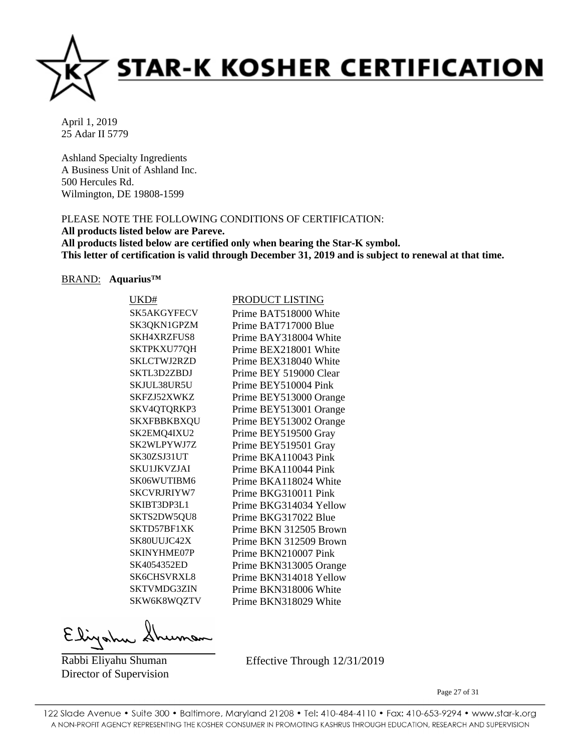

Ashland Specialty Ingredients A Business Unit of Ashland Inc. 500 Hercules Rd. Wilmington, DE 19808-1599

# PLEASE NOTE THE FOLLOWING CONDITIONS OF CERTIFICATION:

**All products listed below are Pareve.**

**All products listed below are certified only when bearing the Star-K symbol. This letter of certification is valid through December 31, 2019 and is subject to renewal at that time.**

#### BRAND: **Aquarius™**

| UKD#               | PRODUCT LISTING        |
|--------------------|------------------------|
| SK5AKGYFECV        | Prime BAT518000 White  |
| SK3QKN1GPZM        | Prime BAT717000 Blue   |
| <b>SKH4XRZFUS8</b> | Prime BAY318004 White  |
| SKTPKXU77QH        | Prime BEX218001 White  |
| SKLCTWJ2RZD        | Prime BEX318040 White  |
| SKTL3D2ZBDJ        | Prime BEY 519000 Clear |
| SKJUL38UR5U        | Prime BEY510004 Pink   |
| SKFZJ52XWKZ        | Prime BEY513000 Orange |
| SKV4QTQRKP3        | Prime BEY513001 Orange |
| SKXFBBKBXQU        | Prime BEY513002 Orange |
| SK2EMQ4IXU2        | Prime BEY519500 Gray   |
| SK2WLPYWJ7Z        | Prime BEY519501 Gray   |
| SK30ZSJ31UT        | Prime BKA110043 Pink   |
| SKU1JKVZJAI        | Prime BKA110044 Pink   |
| SK06WUTIBM6        | Prime BKA118024 White  |
| <b>SKCVRJRIYW7</b> | Prime BKG310011 Pink   |
| SKIBT3DP3L1        | Prime BKG314034 Yellow |
| SKTS2DW5QU8        | Prime BKG317022 Blue   |
| SKTD57BF1XK        | Prime BKN 312505 Brown |
| SK80UUJC42X        | Prime BKN 312509 Brown |
| SKINYHME07P        | Prime BKN210007 Pink   |
| SK4054352ED        | Prime BKN313005 Orange |
| <b>SK6CHSVRXL8</b> | Prime BKN314018 Yellow |
| <b>SKTVMDG3ZIN</b> | Prime BKN318006 White  |
| SKW6K8WQZTV        | Prime BKN318029 White  |
|                    |                        |

Elizahu

Rabbi Eliyahu Shuman Director of Supervision Effective Through 12/31/2019

Page 27 of 31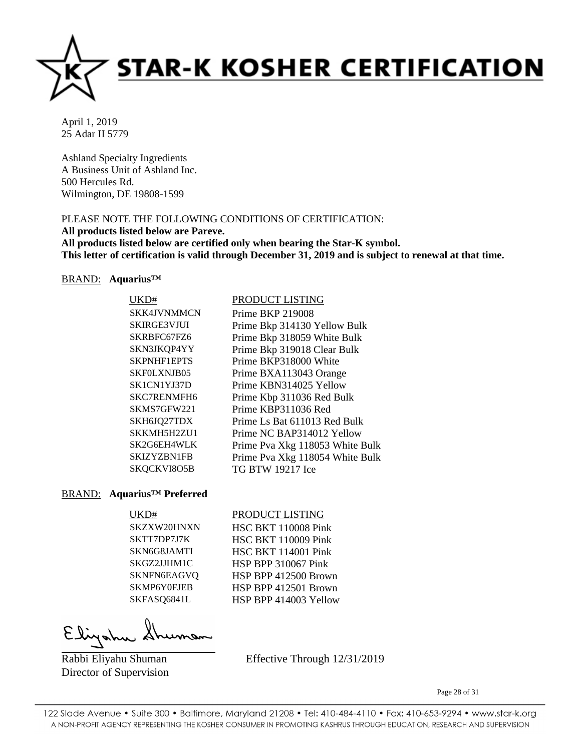

Ashland Specialty Ingredients A Business Unit of Ashland Inc. 500 Hercules Rd. Wilmington, DE 19808-1599

# PLEASE NOTE THE FOLLOWING CONDITIONS OF CERTIFICATION:

**All products listed below are Pareve. All products listed below are certified only when bearing the Star-K symbol. This letter of certification is valid through December 31, 2019 and is subject to renewal at that time.**

# BRAND: **Aquarius™**

| UKD#               | PRODUCT LISTING                 |
|--------------------|---------------------------------|
| SKK4JVNMMCN        | <b>Prime BKP 219008</b>         |
| <b>SKIRGE3VJUI</b> | Prime Bkp 314130 Yellow Bulk    |
| SKRBFC67FZ6        | Prime Bkp 318059 White Bulk     |
| SKN3JKQP4YY        | Prime Bkp 319018 Clear Bulk     |
| SKPNHF1EPTS        | Prime BKP318000 White           |
| SKF0LXNJB05        | Prime BXA113043 Orange          |
| SK1CN1YJ37D        | Prime KBN314025 Yellow          |
| SKC7RENMFH6        | Prime Kbp 311036 Red Bulk       |
| SKMS7GFW221        | Prime KBP311036 Red             |
| SKH6JQ27TDX        | Prime Ls Bat 611013 Red Bulk    |
| SKKMH5H2ZU1        | Prime NC BAP314012 Yellow       |
| SK2G6EH4WLK        | Prime Pva Xkg 118053 White Bulk |
| SKIZYZBN1FB        | Prime Pva Xkg 118054 White Bulk |
| SKQCKVI8O5B        | TG BTW 19217 Ice                |

# BRAND: **Aquarius™ Preferred**

#### UKD# PRODUCT LISTING

SKZXW20HNXN HSC BKT 110008 Pink SKTT7DP7J7K HSC BKT 110009 Pink SKN6G8JAMTI HSC BKT 114001 Pink SKGZ2JJHM1C HSP BPP 310067 Pink SKNFN6EAGVQ HSP BPP 412500 Brown SKMP6Y0FJEB HSP BPP 412501 Brown SKFASQ6841L HSP BPP 414003 Yellow

Rabbi Eliyahu Shuman Director of Supervision Effective Through 12/31/2019

Page 28 of 31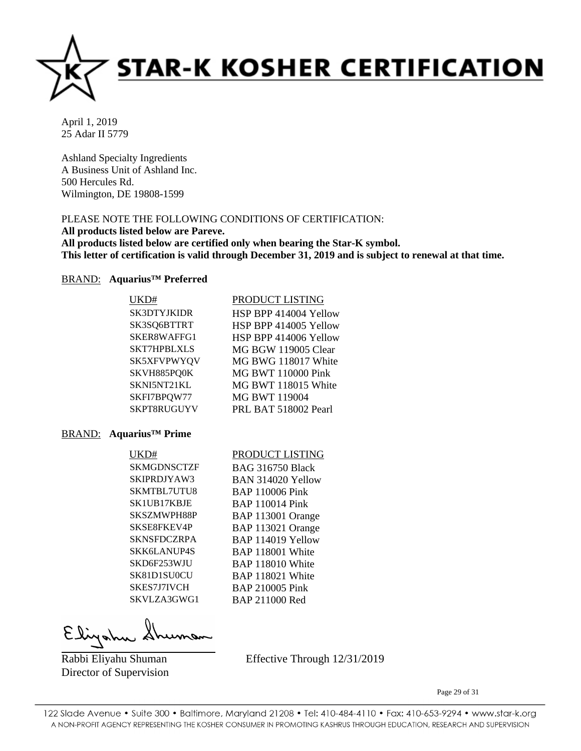

Ashland Specialty Ingredients A Business Unit of Ashland Inc. 500 Hercules Rd. Wilmington, DE 19808-1599

# PLEASE NOTE THE FOLLOWING CONDITIONS OF CERTIFICATION:

**All products listed below are Pareve.**

**All products listed below are certified only when bearing the Star-K symbol. This letter of certification is valid through December 31, 2019 and is subject to renewal at that time.**

#### BRAND: **Aquarius™ Preferred**

| UKD#               | PRODUCT LISTING           |
|--------------------|---------------------------|
| <b>SK3DTYJKIDR</b> | HSP BPP 414004 Yellow     |
| SK3SQ6BTTRT        | HSP BPP 414005 Yellow     |
| SKER8WAFFG1        | HSP BPP 414006 Yellow     |
| <b>SKT7HPBLXLS</b> | MG BGW 119005 Clear       |
| SK5XFVPWYQV        | MG BWG 118017 White       |
| SKVH885PQ0K        | <b>MG BWT 110000 Pink</b> |
| SKNI5NT21KL        | MG BWT 118015 White       |
| SKFI7BPQW77        | <b>MG BWT 119004</b>      |
| SKPT8RUGUYV        | PRL BAT 518002 Pearl      |

#### BRAND: **Aquarius™ Prime**

#### UKD# PRODUCT LISTING

SKMGDNSCTZF BAG 316750 Black SKIPRDJYAW3 BAN 314020 Yellow SKMTBL7UTU8 BAP 110006 Pink SK1UB17KBJE BAP 110014 Pink SKSZMWPH88P BAP 113001 Orange SKSE8FKEV4P BAP 113021 Orange SKNSFDCZRPA BAP 114019 Yellow SKK6LANUP4S BAP 118001 White SKD6F253WJU BAP 118010 White SK81D1SU0CU BAP 118021 White SKES7J7IVCH BAP 210005 Pink SKVLZA3GWG1 BAP 211000 Red

Rabbi Eliyahu Shuman Director of Supervision Effective Through 12/31/2019

Page 29 of 31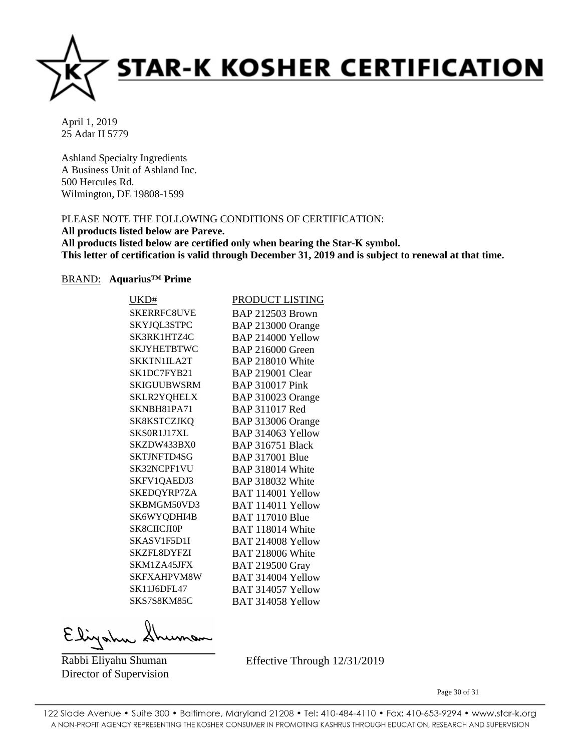

Ashland Specialty Ingredients A Business Unit of Ashland Inc. 500 Hercules Rd. Wilmington, DE 19808-1599

# PLEASE NOTE THE FOLLOWING CONDITIONS OF CERTIFICATION:

# **All products listed below are Pareve.**

**All products listed below are certified only when bearing the Star-K symbol. This letter of certification is valid through December 31, 2019 and is subject to renewal at that time.**

#### BRAND: **Aquarius™ Prime**

| UKD#               | PRODUCT LISTING         |
|--------------------|-------------------------|
| <b>SKERRFC8UVE</b> | <b>BAP 212503 Brown</b> |
| SKYJQL3STPC        | BAP 213000 Orange       |
| SK3RK1HTZ4C        | BAP 214000 Yellow       |
| <b>SKJYHETBTWC</b> | <b>BAP 216000 Green</b> |
| SKKTN1ILA2T        | <b>BAP 218010 White</b> |
| SK1DC7FYB21        | <b>BAP 219001 Clear</b> |
| SKIGUUBWSRM        | <b>BAP 310017 Pink</b>  |
| SKLR2YQHELX        | BAP 310023 Orange       |
| SKNBH81PA71        | BAP 311017 Red          |
| SK8KSTCZJKQ        | BAP 313006 Orange       |
| SKS0R1J17XL        | BAP 314063 Yellow       |
| SKZDW433BX0        | <b>BAP 316751 Black</b> |
| <b>SKTJNFTD4SG</b> | <b>BAP 317001 Blue</b>  |
| SK32NCPF1VU        | <b>BAP 318014 White</b> |
| SKFV1QAEDJ3        | <b>BAP 318032 White</b> |
| SKEDQYRP7ZA        | BAT 114001 Yellow       |
| SKBMGM50VD3        | BAT 114011 Yellow       |
| SK6WYQDHI4B        | <b>BAT 117010 Blue</b>  |
| <b>SK8CIICJI0P</b> | BAT 118014 White        |
| SKASV1F5D1I        | BAT 214008 Yellow       |
| SKZFL8DYFZI        | <b>BAT 218006 White</b> |
| SKM1ZA45JFX        | <b>BAT 219500 Gray</b>  |
| <b>SKFXAHPVM8W</b> | BAT 314004 Yellow       |
| <b>SK11J6DFL47</b> | BAT 314057 Yellow       |
| SKS7S8KM85C        | BAT 314058 Yellow       |
|                    |                         |

Eligatu

Rabbi Eliyahu Shuman Director of Supervision Effective Through 12/31/2019

Page 30 of 31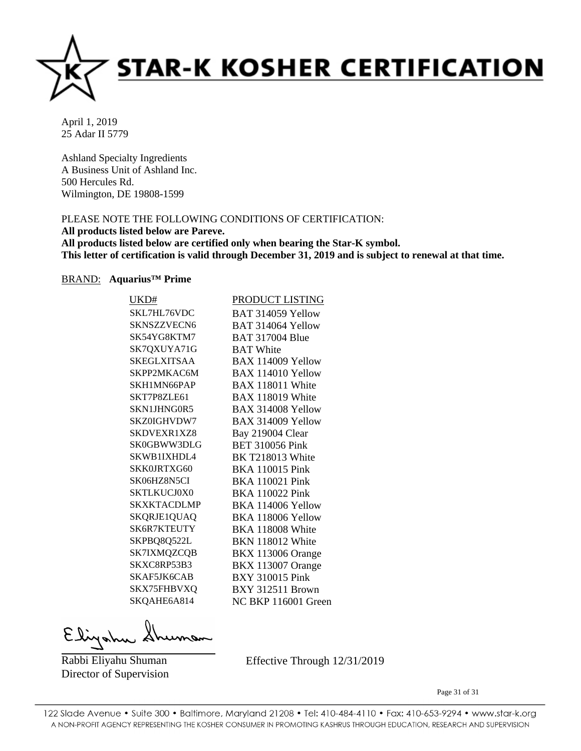

Ashland Specialty Ingredients A Business Unit of Ashland Inc. 500 Hercules Rd. Wilmington, DE 19808-1599

# PLEASE NOTE THE FOLLOWING CONDITIONS OF CERTIFICATION:

# **All products listed below are Pareve.**

**All products listed below are certified only when bearing the Star-K symbol. This letter of certification is valid through December 31, 2019 and is subject to renewal at that time.**

#### BRAND: **Aquarius™ Prime**

| UKD#               | PRODUCT LISTING          |
|--------------------|--------------------------|
| SKL7HL76VDC        | BAT 314059 Yellow        |
| SKNSZZVECN6        | BAT 314064 Yellow        |
| SK54YG8KTM7        | <b>BAT 317004 Blue</b>   |
| SK7QXUYA71G        | <b>BAT</b> White         |
| SKEGLXITSAA        | BAX 114009 Yellow        |
| SKPP2MKAC6M        | BAX 114010 Yellow        |
| SKH1MN66PAP        | <b>BAX 118011 White</b>  |
| SKT7P8ZLE61        | <b>BAX 118019 White</b>  |
| SKN1JHNG0R5        | BAX 314008 Yellow        |
| SKZ0IGHVDW7        | BAX 314009 Yellow        |
| <b>SKDVEXR1XZ8</b> | Bay 219004 Clear         |
| SK0GBWW3DLG        | <b>BET 310056 Pink</b>   |
| SKWB1IXHDL4        | <b>BK T218013 White</b>  |
| SKK0JRTXG60        | <b>BKA 110015 Pink</b>   |
| SK06HZ8N5CI        | <b>BKA 110021 Pink</b>   |
| <b>SKTLKUCJ0X0</b> | <b>BKA 110022 Pink</b>   |
| SKXKTACDLMP        | BKA 114006 Yellow        |
| SKQRJE1QUAQ        | BKA 118006 Yellow        |
| <b>SK6R7KTEUTY</b> | <b>BKA 118008 White</b>  |
| SKPBQ8Q522L        | BKN 118012 White         |
| SK7IXMQZCQB        | <b>BKX 113006 Orange</b> |
| SKXC8RP53B3        | <b>BKX 113007 Orange</b> |
| SKAF5JK6CAB        | <b>BXY 310015 Pink</b>   |
| SKX75FHBVXQ        | <b>BXY 312511 Brown</b>  |
| SKQAHE6A814        | NC BKP 116001 Green      |
|                    |                          |

Eligatu

Rabbi Eliyahu Shuman Director of Supervision Effective Through 12/31/2019

Page 31 of 31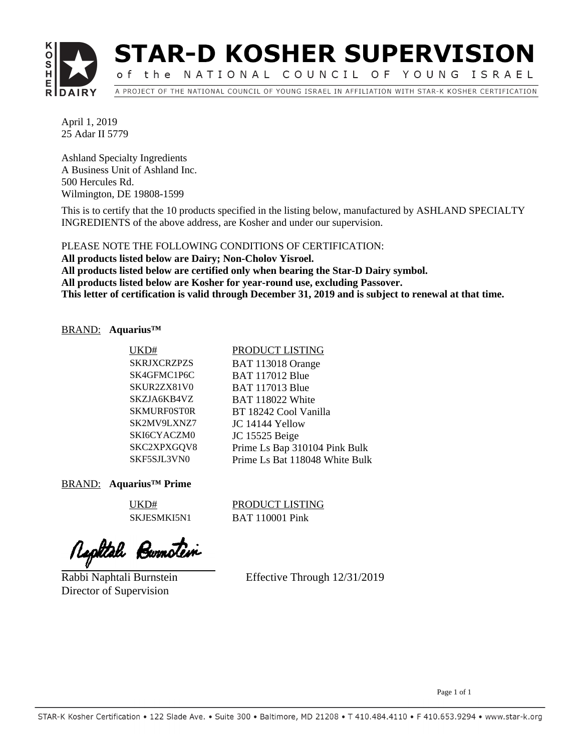

# **STAR-D KOSHER SUPERVISION**

of the NATIONAL COUNCIL OF YOUNG ISRAEL A PROJECT OF THE NATIONAL COUNCIL OF YOUNG ISRAEL IN AFFILIATION WITH STAR-K KOSHER CERTIFICATION

April 1, 2019 25 Adar II 5779

Ashland Specialty Ingredients A Business Unit of Ashland Inc. 500 Hercules Rd. Wilmington, DE 19808-1599

This is to certify that the 10 products specified in the listing below, manufactured by ASHLAND SPECIALTY INGREDIENTS of the above address, are Kosher and under our supervision.

**All products listed below are Dairy; Non-Cholov Yisroel. All products listed below are certified only when bearing the Star-D Dairy symbol. All products listed below are Kosher for year-round use, excluding Passover. This letter of certification is valid through December 31, 2019 and is subject to renewal at that time.** PLEASE NOTE THE FOLLOWING CONDITIONS OF CERTIFICATION:

# BRAND: **Aquarius™**

| UKD#               | PRODUCT LISTING                |
|--------------------|--------------------------------|
| <b>SKRJXCRZPZS</b> | BAT 113018 Orange              |
| SK4GFMC1P6C        | <b>BAT 117012 Blue</b>         |
| SKUR2ZX81V0        | <b>BAT 117013 Blue</b>         |
| SKZJA6KB4VZ        | <b>BAT 118022 White</b>        |
| <b>SKMURF0ST0R</b> | BT 18242 Cool Vanilla          |
| SK2MV9LXNZ7        | JC 14144 Yellow                |
| SKI6CYACZM0        | JC 15525 Beige                 |
| SKC2XPXGQV8        | Prime Ls Bap 310104 Pink Bulk  |
| SKF5SJL3VN0        | Prime Ls Bat 118048 White Bulk |

BRAND: **Aquarius™ Prime**

UKD# PRODUCT LISTING SKJESMKI5N1 BAT 110001 Pink

Rephtale Burnotein

Rabbi Naphtali Burnstein Director of Supervision

Effective Through 12/31/2019

Page 1 of 1